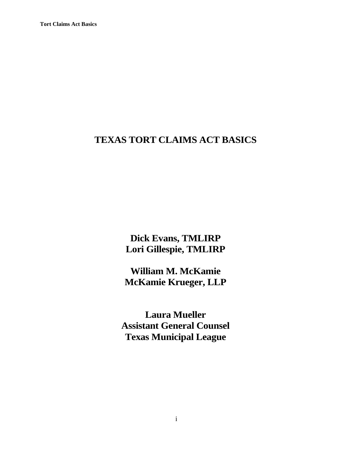# **TEXAS TORT CLAIMS ACT BASICS**

**Dick Evans, TMLIRP Lori Gillespie, TMLIRP**

**William M. McKamie McKamie Krueger, LLP**

**Laura Mueller Assistant General Counsel Texas Municipal League**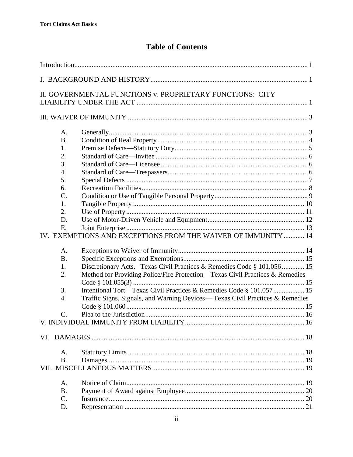# **Table of Contents**

|                 | II. GOVERNMENTAL FUNCTIONS v. PROPRIETARY FUNCTIONS: CITY                    |  |
|-----------------|------------------------------------------------------------------------------|--|
|                 |                                                                              |  |
|                 |                                                                              |  |
|                 |                                                                              |  |
| A.              |                                                                              |  |
| <b>B.</b>       |                                                                              |  |
| 1.              |                                                                              |  |
| 2.              |                                                                              |  |
| 3.              |                                                                              |  |
| 4.              |                                                                              |  |
| 5.              |                                                                              |  |
| 6.              |                                                                              |  |
| $\mathcal{C}$ . |                                                                              |  |
| 1.              |                                                                              |  |
| 2.              |                                                                              |  |
| D.              |                                                                              |  |
| E.              |                                                                              |  |
|                 | IV. EXEMPTIONS AND EXCEPTIONS FROM THE WAIVER OF IMMUNITY  14                |  |
|                 |                                                                              |  |
| A.              |                                                                              |  |
| <b>B.</b>       |                                                                              |  |
| 1.              | Discretionary Acts. Texas Civil Practices & Remedies Code § 101.056 15       |  |
| 2.              | Method for Providing Police/Fire Protection—Texas Civil Practices & Remedies |  |
|                 |                                                                              |  |
| 3.              |                                                                              |  |
| 4.              | Traffic Signs, Signals, and Warning Devices—Texas Civil Practices & Remedies |  |
|                 |                                                                              |  |
| $\mathcal{C}$ . |                                                                              |  |
|                 |                                                                              |  |
|                 |                                                                              |  |
|                 |                                                                              |  |
|                 |                                                                              |  |
| A.              |                                                                              |  |
| <b>B.</b>       |                                                                              |  |
|                 |                                                                              |  |
|                 |                                                                              |  |
| A.              |                                                                              |  |
| <b>B.</b>       |                                                                              |  |
| C.              |                                                                              |  |
| D.              |                                                                              |  |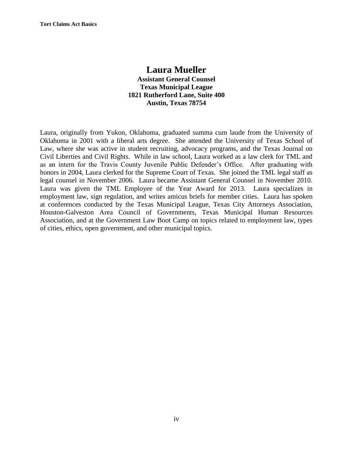# **Laura Mueller Assistant General Counsel Texas Municipal League 1821 Rutherford Lane, Suite 400 Austin, Texas 78754**

Laura, originally from Yukon, Oklahoma, graduated summa cum laude from the University of Oklahoma in 2001 with a liberal arts degree. She attended the University of Texas School of Law, where she was active in student recruiting, advocacy programs, and the Texas Journal on Civil Liberties and Civil Rights. While in law school, Laura worked as a law clerk for TML and as an intern for the Travis County Juvenile Public Defender's Office. After graduating with honors in 2004, Laura clerked for the Supreme Court of Texas. She joined the TML legal staff as legal counsel in November 2006. Laura became Assistant General Counsel in November 2010. Laura was given the TML Employee of the Year Award for 2013. Laura specializes in employment law, sign regulation, and writes amicus briefs for member cities. Laura has spoken at conferences conducted by the Texas Municipal League, Texas City Attorneys Association, Houston-Galveston Area Council of Governments, Texas Municipal Human Resources Association, and at the Government Law Boot Camp on topics related to employment law, types of cities, ethics, open government, and other municipal topics.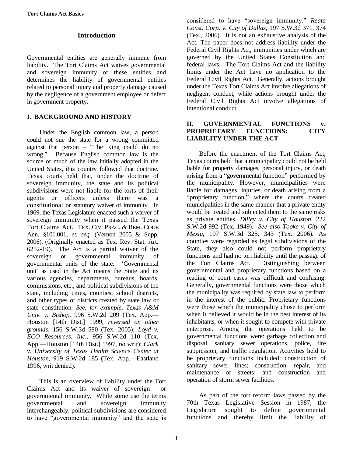## **Introduction**

<span id="page-4-0"></span>Governmental entities are generally immune from liability. The Tort Claims Act waives governmental and sovereign immunity of these entities and determines the liability of governmental entities related to personal injury and property damage caused by the negligence of a government employee or defect in government property.

## <span id="page-4-1"></span>**I. BACKGROUND AND HISTORY**

Under the English common law, a person could not sue the state for a wrong committed against that person – "The King could do no wrong." Because English common law is the source of much of the law initially adopted in the United States, this country followed that doctrine. Texas courts held that, under the doctrine of sovereign immunity, the state and its political subdivisions were not liable for the torts of their agents or officers unless there was a constitutional or statutory waiver of immunity. In 1969, the Texas Legislature enacted such a waiver of sovereign immunity when it passed the Texas Tort Claims Act. TEX. CIV. PRAC. & REM. CODE Ann. §101.001, *et. seq.* (Vernon 2005 & Supp. 2006). (Originally enacted as Tex. Rev. Stat. Art. 6252-19). The Act is a partial waiver of the sovereign or governmental immunity of governmental units of the state. 'Governmental unit' as used in the Act means the State and its various agencies, departments, bureaus, boards, commissions, etc., and political subdivisions of the state, including cities, counties, school districts, and other types of districts created by state law or state constitution. *See, for example, Texas A&M Univ. v. Bishop*, 996 S.W.2d 209 (Tex. App.— Houston [14th Dist.] 1999, *reversed on other grounds*, 156 S.W.3d 580 (Tex. 2005); *Loyd v. ECO Resources, Inc.*, 956 S.W.2d 110 (Tex. App.—Houston [14th Dist.] 1997, no writ); *Clark v. University of Texas Health Science Center at Houston*, 919 S.W.2d 185 (Tex. App.—Eastland 1996, writ denied).

This is an overview of liability under the Tort Claims Act and its waiver of sovereign or governmental immunity. While some use the terms governmental and sovereign immunity interchangeably, political subdivisions are considered to have "governmental immunity" and the state is considered to have "sovereign immunity." *Reata Const. Corp. v. City of Dallas*, 197 S.W.3d 371, 374 (Tex., 2006). It is not an exhaustive analysis of the Act. The paper does not address liability under the Federal Civil Rights Act, immunities under which are governed by the United States Constitution and federal laws. The Tort Claims Act and the liability limits under the Act have no application to the Federal Civil Rights Act. Generally, actions brought under the Texas Tort Claims Act involve allegations of negligent conduct, while actions brought under the Federal Civil Rights Act involve allegations of intentional conduct.

### <span id="page-4-2"></span>**II. GOVERNMENTAL FUNCTIONS v. PROPRIETARY FUNCTIONS: CITY LIABILITY UNDER THE ACT**

Before the enactment of the Tort Claims Act, Texas courts held that a municipality could not be held liable for property damages, personal injury, or death arising from a "governmental function" performed by the municipality. However, municipalities were liable for damages, injuries, or death arising from a "proprietary function," where the courts treated municipalities in the same manner that a private entity would be treated and subjected them to the same risks as private entities. *Dilley v. City of Houston*, 222 S.W.2d 992 (Tex. 1949). *See also Tooke v. City of Mexia*, 197 S.W.3d 325, 343 (Tex. 2006)*.* As counties were regarded as legal subdivisions of the State, they also could not perform proprietary functions and had no tort liability until the passage of the Tort Claims Act. Distinguishing between governmental and proprietary functions based on a reading of court cases was difficult and confusing. Generally, governmental functions were those which the municipality was required by state law to perform in the interest of the public. Proprietary functions were those which the municipality chose to perform when it believed it would be in the best interest of its inhabitants, or when it sought to compete with private enterprise. Among the operations held to be governmental functions were: garbage collection and disposal, sanitary sewer operations, police, fire suppression, and traffic regulation. Activities held to be proprietary functions included: construction of sanitary sewer lines; construction, repair, and maintenance of streets; and construction and operation of storm sewer facilities.

As part of the tort reform laws passed by the 70th Texas Legislative Session in 1987, the Legislature sought to define governmental functions and thereby limit the liability of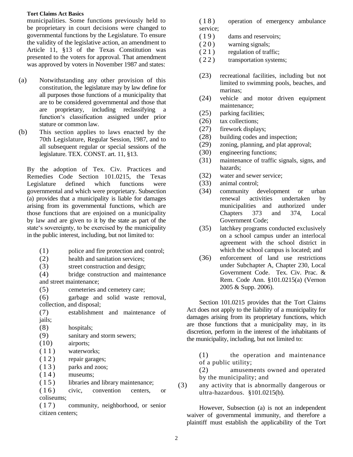municipalities. Some functions previously held to be proprietary in court decisions were changed to governmental functions by the Legislature. To ensure the validity of the legislative action, an amendment to Article 11, §13 of the Texas Constitution was presented to the voters for approval. That amendment was approved by voters in November 1987 and states:

- (a) Notwithstanding any other provision of this constitution, the legislature may by law define for all purposes those functions of a municipality that are to be considered governmental and those that are proprietary, including reclassifying function's classification assigned under prior stature or common law.
- (b) This section applies to laws enacted by the 70th Legislature, Regular Session, 1987, and to all subsequent regular or special sessions of the legislature. TEX. CONST. art. 11, §13.

By the adoption of Tex. Civ. Practices and Remedies Code Section 101.0215, the Texas Legislature defined which functions were governmental and which were proprietary. Subsection (a) provides that a municipality is liable for damages arising from its governmental functions, which are those functions that are enjoined on a municipality by law and are given to it by the state as part of the state's sovereignty, to be exercised by the municipality in the public interest, including, but not limited to:

- (1) police and fire protection and control;
- (2) health and sanitation services;
- (3) street construction and design;

(4) bridge construction and maintenance and street maintenance;

(5) cemeteries and cemetery care;

(6) garbage and solid waste removal, collection, and disposal;

(7) establishment and maintenance of jails;

(8) hospitals;

- (9) sanitary and storm sewers;
- (10) airports;
- (11) waterworks;
- $(12)$  repair garages;
- ( 1 3 ) parks and zoos;
- $(14)$  museums;
- (15) libraries and library maintenance;

(16) civic, convention centers, or coliseums;

( 1 7 ) community, neighborhood, or senior citizen centers;

(18) operation of emergency ambulance service;

- (19) dams and reservoirs;
- $(20)$  warning signals;
- $(21)$  regulation of traffic;
- (22) transportation systems;
- (23) recreational facilities, including but not limited to swimming pools, beaches, and marinas;
- (24) vehicle and motor driven equipment maintenance;
- (25) parking facilities;
- (26) tax collections;
- (27) firework displays;
- (28) building codes and inspection;
- (29) zoning, planning, and plat approval;
- (30) engineering functions;
- (31) maintenance of traffic signals, signs, and hazards;
- (32) water and sewer service;
- (33) animal control;
- (34) community development or urban renewal activities undertaken by municipalities and authorized under Chapters 373 and 374, Local Government Code;
- (35) latchkey programs conducted exclusively on a school campus under an interlocal agreement with the school district in which the school campus is located; and
- (36) enforcement of land use restrictions under Subchapter A, Chapter 230, Local Government Code. Tex. Civ. Prac. & Rem. Code Ann. §101.0215(a) (Vernon 2005 & Supp. 2006).

Section 101.0215 provides that the Tort Claims Act does not apply to the liability of a municipality for damages arising from its proprietary functions, which are those functions that a municipality may, in its discretion, perform in the interest of the inhabitants of the municipality, including, but not limited to:

(1) the operation and maintenance of a public utility;

(2) amusements owned and operated by the municipality; and

(3) any activity that is abnormally dangerous or ultra-hazardous. §101.0215(b).

However, Subsection (a) is not an independent waiver of governmental immunity, and therefore a plaintiff must establish the applicability of the Tort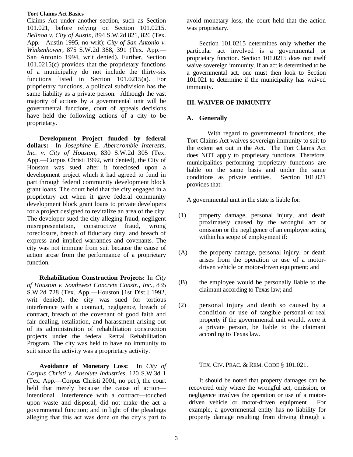Claims Act under another section, such as Section 101.021, before relying on Section 101.0215. *Bellnoa v. City of Austin*, 894 S.W.2d 821, 826 (Tex. App.—Austin 1995, no writ); *City of San Antonio v. Winkenhower*, 875 S.W.2d 388, 391 (Tex. App.— San Antonio 1994, writ denied). Further, Section 101.0215(c) provides that the proprietary functions of a municipality do not include the thirty-six functions listed in Section 101.0215(a). For proprietary functions, a political subdivision has the same liability as a private person. Although the vast majority of actions by a governmental unit will be governmental functions, court of appeals decisions have held the following actions of a city to be proprietary.

**Development Project funded by federal dollars:** In *Josephine E. Abercrombie Interests, Inc. v. City of Houston*, 830 S.W.2d 305 (Tex. App.—Corpus Christi 1992, writ denied), the City of Houston was sued after it foreclosed upon a development project which it had agreed to fund in part through federal community development block grant loans. The court held that the city engaged in a proprietary act when it gave federal community development block grant loans to private developers for a project designed to revitalize an area of the city. The developer sued the city alleging fraud, negligent misrepresentation, constructive fraud, wrong foreclosure, breach of fiduciary duty, and breach of express and implied warranties and covenants. The city was not immune from suit because the cause of action arose from the performance of a proprietary function.

**Rehabilitation Construction Projects:** In *City of Houston v. Southwest Concrete Constr., Inc.*, 835 S.W.2d 728 (Tex. App.—Houston [1st Dist.] 1992, writ denied), the city was sued for tortious interference with a contract, negligence, breach of contract, breach of the covenant of good faith and fair dealing, retaliation, and harassment arising out of its administration of rehabilitation construction projects under the federal Rental Rehabilitation Program. The city was held to have no immunity to suit since the activity was a proprietary activity.

**Avoidance of Monetary Loss:** In *City of Corpus Christi v. Absolute Industries*, 120 S.W.3d 1 (Tex. App.—Corpus Christi 2001, no pet.), the court held that merely because the cause of action intentional interference with a contract—touched upon waste and disposal, did not make the act a governmental function; and in light of the pleadings alleging that this act was done on the city's part to

avoid monetary loss, the court held that the action was proprietary.

Section 101.0215 determines only whether the particular act involved is a governmental or proprietary function. Section 101.0215 does not itself waive sovereign immunity. If an act is determined to be a governmental act, one must then look to Section 101.021 to determine if the municipality has waived immunity.

### <span id="page-6-0"></span>**III. WAIVER OF IMMUNITY**

### <span id="page-6-1"></span>**A. Generally**

With regard to governmental functions, the Tort Claims Act waives sovereign immunity to suit to the extent set out in the Act. The Tort Claims Act does NOT apply to proprietary functions. Therefore, municipalities performing proprietary functions are liable on the same basis and under the same conditions as private entities. Section 101.021 provides that:

A governmental unit in the state is liable for:

- (1) property damage, personal injury, and death proximately caused by the wrongful act or omission or the negligence of an employee acting within his scope of employment if:
- (A) the property damage, personal injury, or death arises from the operation or use of a motordriven vehicle or motor-driven equipment; and
- (B) the employee would be personally liable to the claimant according to Texas law; and
- (2) personal injury and death so caused by a condition or use of tangible personal or real property if the governmental unit would, were it a private person, be liable to the claimant according to Texas law.

TEX. CIV. PRAC. & REM. CODE § 101.021.

It should be noted that property damages can be recovered only where the wrongful act, omission, or negligence involves the operation or use of a motordriven vehicle or motor-driven equipment. For example, a governmental entity has no liability for property damage resulting from driving through a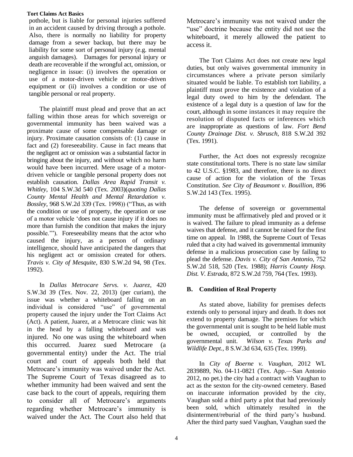pothole, but is liable for personal injuries suffered in an accident caused by driving through a pothole. Also, there is normally no liability for property damage from a sewer backup, but there may be liability for some sort of personal injury (e.g. mental anguish damages). Damages for personal injury or death are recoverable if the wrongful act, omission, or negligence in issue: (i) involves the operation or use of a motor-driven vehicle or motor-driven equipment or (ii) involves a condition or use of tangible personal or real property.

The plaintiff must plead and prove that an act falling within those areas for which sovereign or governmental immunity has been waived was a proximate cause of some compensable damage or injury. Proximate causation consists of: (1) cause in fact and (2) foreseeability. Cause in fact means that the negligent act or omission was a substantial factor in bringing about the injury, and without which no harm would have been incurred. Mere usage of a motordriven vehicle or tangible personal property does not establish causation. *Dallas Area Rapid Transit v. Whitley*, 104 S.W.3d 540 (Tex. 2003)(*quoting Dallas County Mental Health and Mental Retardation v. Bossley*, 968 S.W.2d 339 (Tex. 1998)) ("Thus, as with the condition or use of property, the operation or use of a motor vehicle 'does not cause injury if it does no more than furnish the condition that makes the injury possible.'"). Foreseeability means that the actor who caused the injury, as a person of ordinary intelligence, should have anticipated the dangers that his negligent act or omission created for others. *Travis v. City of Mesquite*, 830 S.W.2d 94, 98 (Tex. 1992).

In *Dallas Metrocare Servs. v. Juarez*, 420 S.W.3d 39 (Tex. Nov. 22, 2013) (per curiam), the issue was whether a whiteboard falling on an individual is considered "use" of governmental property caused the injury under the Tort Claims Act (Act). A patient, Juarez, at a Metrocare clinic was hit in the head by a falling whiteboard and was injured. No one was using the whiteboard when this occurred. Juarez sued Metrocare (a governmental entity) under the Act. The trial court and court of appeals both held that Metrocare's immunity was waived under the Act. The Supreme Court of Texas disagreed as to whether immunity had been waived and sent the case back to the court of appeals, requiring them to consider all of Metrocare's arguments regarding whether Metrocare's immunity is waived under the Act. The Court also held that

Metrocare's immunity was not waived under the "use" doctrine because the entity did not use the whiteboard, it merely allowed the patient to access it.

The Tort Claims Act does not create new legal duties, but only waives governmental immunity in circumstances where a private person similarly situated would be liable. To establish tort liability, a plaintiff must prove the existence and violation of a legal duty owed to him by the defendant. The existence of a legal duty is a question of law for the court, although in some instances it may require the resolution of disputed facts or inferences which are inappropriate as questions of law. *Fort Bend County Drainage Dist. v. Sbrusch*, 818 S.W.2d 392 (Tex. 1991).

Further, the Act does not expressly recognize state constitutional torts. There is no state law similar to 42 U.S.C. §1983, and therefore, there is no direct cause of action for the violation of the Texas Constitution. *See City of Beaumont v. Bouillion*, 896 S.W.2d 143 (Tex. 1995).

The defense of sovereign or governmental immunity must be affirmatively pled and proved or it is waived. The failure to plead immunity as a defense waives that defense, and it cannot be raised for the first time on appeal. In 1988, the Supreme Court of Texas ruled that a city had waived its governmental immunity defense in a malicious prosecution case by failing to plead the defense. *Davis v. City of San Antonio*, 752 S.W.2d 518, 520 (Tex. 1988); *Harris County Hosp. Dist. V. Estrada*, 872 S.W.2d 759, 764 (Tex. 1993).

# <span id="page-7-0"></span>**B. Condition of Real Property**

As stated above, liability for premises defects extends only to personal injury and death. It does not extend to property damage. The premises for which the governmental unit is sought to be held liable must be owned, occupied, or controlled by the governmental unit. *Wilson v. Texas Parks and Wildlife Dept.*, 8 S.W.3d 634, 635 (Tex. 1999).

In *City of Boerne v. Vaughan*, 2012 WL 2839889, No. 04-11-0821 (Tex. App.—San Antonio 2012, no pet.) the city had a contract with Vaughan to act as the sexton for the city-owned cemetery. Based on inaccurate information provided by the city, Vaughan sold a third party a plot that had previously been sold, which ultimately resulted in the disinterment/reburial of the third party's husband. After the third party sued Vaughan, Vaughan sued the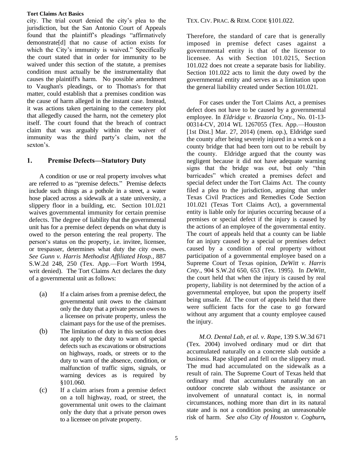city. The trial court denied the city's plea to the jurisdiction, but the San Antonio Court of Appeals found that the plaintiff's pleadings "affirmatively demonstrate[d] that no cause of action exists for which the City's immunity is waived." Specifically the court stated that in order for immunity to be waived under this section of the statute, a premises condition must actually be the instrumentality that causes the plaintiff's harm. No possible amendment to Vaughan's pleadings, or to Thomas's for that matter, could establish that a premises condition was the cause of harm alleged in the instant case. Instead, it was actions taken pertaining to the cemetery plot that allegedly caused the harm, not the cemetery plot itself. The court found that the breach of contract claim that was arguably within the waiver of immunity was the third party's claim, not the sexton's.

# <span id="page-8-0"></span>**1. Premise Defects—Statutory Duty**

A condition or use or real property involves what are referred to as "premise defects." Premise defects include such things as a pothole in a street, a water hose placed across a sidewalk at a state university, a slippery floor in a building, etc. Section 101.021 waives governmental immunity for certain premise defects. The degree of liability that the governmental unit has for a premise defect depends on what duty is owed to the person entering the real property. The person's status on the property, i.e. invitee, licensee, or trespasser, determines what duty the city owes. *See Gunn v. Harris Methodist Affiliated Hosp.*, 887 S.W.2d 248, 250 (Tex. App.—Fort Worth 1994, writ denied). The Tort Claims Act declares the duty of a governmental unit as follows:

- (a) If a claim arises from a premise defect, the governmental unit owes to the claimant only the duty that a private person owes to a licensee on private property, unless the claimant pays for the use of the premises.
- (b) The limitation of duty in this section does not apply to the duty to warn of special defects such as excavations or obstructions on highways, roads, or streets or to the duty to warn of the absence, condition, or malfunction of traffic signs, signals, or warning devices as is required by §101.060.
- (c) If a claim arises from a premise defect on a toll highway, road, or street, the governmental unit owes to the claimant only the duty that a private person owes to a licensee on private property.

### TEX. CIV. PRAC. & REM. CODE §101.022.

Therefore, the standard of care that is generally imposed in premise defect cases against a governmental entity is that of the licensor to licensee. As with Section 101.0215, Section 101.022 does not create a separate basis for liability. Section 101.022 acts to limit the duty owed by the governmental entity and serves as a limitation upon the general liability created under Section 101.021.

For cases under the Tort Claims Act, a premises defect does not have to be caused by a governmental employee. In *Eldridge v. Brazoria Cnty.*, No. 01-13- 00314-CV, 2014 WL 1267055 (Tex. App.—Houston [1st Dist.] Mar. 27, 2014) (mem. op.), Eldridge sued the county after being severely injured in a wreck on a county bridge that had been torn out to be rebuilt by the county. Eldridge argued that the county was negligent because it did not have adequate warning signs that the bridge was out, but only "thin barricades" which created a premises defect and special defect under the Tort Claims Act. The county filed a plea to the jurisdiction, arguing that under Texas Civil Practices and Remedies Code Section 101.021 (Texas Tort Claims Act), a governmental entity is liable only for injuries occurring because of a premises or special defect if the injury is caused by the actions of an employee of the governmental entity. The court of appeals held that a county can be liable for an injury caused by a special or premises defect caused by a condition of real property without participation of a governmental employee based on a Supreme Court of Texas opinion, *DeWitt v. Harris Cnty*., 904 S.W.2d 650, 653 (Tex. 1995). In *DeWitt*, the court held that when the injury is caused by real property, liability is not determined by the action of a governmental employee, but upon the property itself being unsafe. *Id.* The court of appeals held that there were sufficient facts for the case to go forward without any argument that a county employee caused the injury.

*M.O. Dental Lab, et al. v. Rape*, 139 S.W.3d 671 (Tex. 2004) involved ordinary mud or dirt that accumulated naturally on a concrete slab outside a business. Rape slipped and fell on the slippery mud. The mud had accumulated on the sidewalk as a result of rain. The Supreme Court of Texas held that ordinary mud that accumulates naturally on an outdoor concrete slab without the assistance or involvement of unnatural contact is, in normal circumstances, nothing more than dirt in its natural state and is not a condition posing an unreasonable risk of harm. *See also City of Houston v. Cogburn,*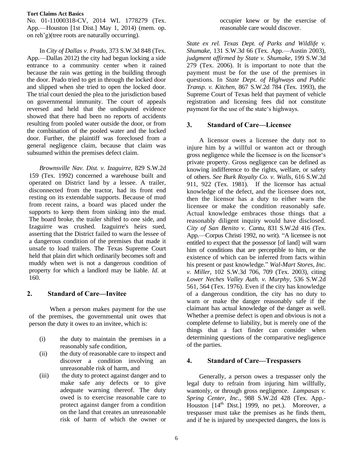No. 01-11000318-CV, 2014 WL 1778279 (Tex. App.—Houston [1st Dist.] May 1, 2014) (mem. op. on reh'g)(tree roots are naturally occurring).

In *City of Dallas v. Prado*, 373 S.W.3d 848 (Tex. App.—Dallas 2012) the city had begun locking a side entrance to a community center when it rained because the rain was getting in the building through the door. Prado tried to get in through the locked door and slipped when she tried to open the locked door. The trial court denied the plea to the jurisdiction based on governmental immunity. The court of appeals reversed and held that the undisputed evidence showed that there had been no reports of accidents resulting from pooled water outside the door, or from the combination of the pooled water and the locked door. Further, the plaintiff was foreclosed from a general negligence claim, because that claim was subsumed within the premises defect claim.

*Brownsville Nav. Dist. v. Izaguirre*, 829 S.W.2d 159 (Tex. 1992) concerned a warehouse built and operated on District land by a lessee. A trailer, disconnected from the tractor, had its front end resting on its extendable supports. Because of mud from recent rains, a board was placed under the supports to keep them from sinking into the mud. The board broke, the trailer shifted to one side, and Izaguirre was crushed. Izaguirre's heirs sued, asserting that the District failed to warn the lessee of a dangerous condition of the premises that made it unsafe to load trailers. The Texas Supreme Court held that plain dirt which ordinarily becomes soft and muddy when wet is not a dangerous condition of property for which a landlord may be liable. *Id*. at 160.

# <span id="page-9-0"></span>**2. Standard of Care—Invitee**

When a person makes payment for the use of the premises, the governmental unit owes that person the duty it owes to an invitee, which is:

- (i) the duty to maintain the premises in a reasonably safe condition,
- (ii) the duty of reasonable care to inspect and discover a condition involving an unreasonable risk of harm, and
- (iii) the duty to protect against danger and to make safe any defects or to give adequate warning thereof. The duty owed is to exercise reasonable care to protect against danger from a condition on the land that creates an unreasonable risk of harm of which the owner or

occupier knew or by the exercise of reasonable care would discover.

*State ex rel. Texas Dept. of Parks and Wildlife v. Shumake*, 131 S.W.3d 66 (Tex. App.—Austin 2003), *judgment affirmed by State v. Shumake*, 199 S.W.3d 279 (Tex. 2006). It is important to note that the payment must be for the use of the premises in questions. In *State Dept. of Highways and Public Transp. v. Kitchen*, 867 S.W.2d 784 (Tex. 1993), the Supreme Court of Texas held that payment of vehicle registration and licensing fees did not constitute payment for the use of the state's highways.

## <span id="page-9-1"></span>**3. Standard of Care—Licensee**

A licensor owes a licensee the duty not to injure him by a willful or wanton act or through gross negligence while the licensee is on the licensor's private property. Gross negligence can be defined as knowing indifference to the rights, welfare, or safety of others. *See Burk Royalty Co. v. Walls*, 616 S.W.2d 911, 922 (Tex. 1981). If the licensor has actual knowledge of the defect, and the licensee does not, then the licensor has a duty to either warn the licensee or make the condition reasonably safe. Actual knowledge embraces those things that a reasonably diligent inquiry would have disclosed. *City of San Benito v. Cantu*, 831 S.W.2d 416 (Tex. App.—Corpus Christi 1992, no writ). "A licensee is not entitled to expect that the possessor [of land] will warn him of conditions that are perceptible to him, or the existence of which can be inferred from facts within his present or past knowledge." *Wal-Mart Stores, Inc. v. Miller*, 102 S.W.3d 706, 709 (Tex. 2003), citing *Lower Neches Valley Auth. v. Murphy*, 536 S.W.2d 561, 564 (Tex. 1976). Even if the city has knowledge of a dangerous condition, the city has no duty to warn or make the danger reasonably safe if the claimant has actual knowledge of the danger as well. Whether a premise defect is open and obvious is not a complete defense to liability, but is merely one of the things that a fact finder can consider when determining questions of the comparative negligence of the parties.

# <span id="page-9-2"></span>**4. Standard of Care—Trespassers**

Generally, a person owes a trespasser only the legal duty to refrain from injuring him willfully, wantonly, or through gross negligence. *Lampasas v. Spring Center, Inc.,* 988 S.W.2d 428 (Tex. App.- Houston  $[14<sup>th</sup>$  Dist.] 1999, no pet.). Moreover, a trespasser must take the premises as he finds them, and if he is injured by unexpected dangers, the loss is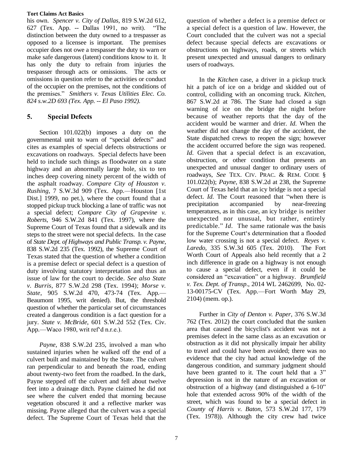his own. *Spencer v. City of Dallas,* 819 S.W.2d 612, 627 (Tex. App. -- Dallas 1991, no writ). "The distinction between the duty owned to a trespasser as opposed to a licensee is important. The premises occupier does not owe a trespasser the duty to warn or make safe dangerous (latent) conditions know to it. It has only the duty to refrain from injuries the trespasser through acts or omissions. The acts or omissions in question refer to the activities or conduct of the occupier on the premises, not the conditions of the premises." *Smithers v. Texas Utilities Elec. Co. 824 s.w.2D 693 (Tex. App. -- El Paso 1992).*

# <span id="page-10-0"></span>**5. Special Defects**

Section 101.022(b) imposes a duty on the governmental unit to warn of "special defects" and cites as examples of special defects obstructions or excavations on roadways. Special defects have been held to include such things as floodwater on a state highway and an abnormally large hole, six to ten inches deep covering ninety percent of the width of the asphalt roadway. *Compare City of Houston v. Rushing*, 7 S.W.3d 909 (Tex. App.—Houston [1st Dist.] 1999, no pet.), where the court found that a stopped pickup truck blocking a lane of traffic was not a special defect; *Compare City of Grapevine v. Roberts*, 946 S.W.2d 841 (Tex. 1997), where the Supreme Court of Texas found that a sidewalk and its steps to the street were not special defects. In the case of *State Dept. of Highways and Public Transp. v. Payne*, 838 S.W.2d 235 (Tex. 1992), the Supreme Court of Texas stated that the question of whether a condition is a premise defect or special defect is a question of duty involving statutory interpretation and thus an issue of law for the court to decide. *See also State v. Burris*, 877 S.W.2d 298 (Tex. 1994); *Morse v. State*, 905 S.W.2d 470, 473-74 (Tex. App.— Beaumont 1995, writ denied). But, the threshold question of whether the particular set of circumstances created a dangerous condition is a fact question for a jury. *State v. McBride*, 601 S.W.2d 552 (Tex. Civ. App.—Waco 1980, writ ref'd n.r.e.).

*Payne*, 838 S.W.2d 235, involved a man who sustained injuries when he walked off the end of a culvert built and maintained by the State. The culvert ran perpendicular to and beneath the road, ending about twenty-two feet from the roadbed. In the dark, Payne stepped off the culvert and fell about twelve feet into a drainage ditch. Payne claimed he did not see where the culvert ended that morning because vegetation obscured it and a reflective marker was missing. Payne alleged that the culvert was a special defect. The Supreme Court of Texas held that the

question of whether a defect is a premise defect or a special defect is a question of law. However, the Court concluded that the culvert was not a special defect because special defects are excavations or obstructions on highways, roads, or streets which present unexpected and unusual dangers to ordinary users of roadways.

In the *Kitchen* case, a driver in a pickup truck hit a patch of ice on a bridge and skidded out of control, colliding with an oncoming truck. *Kitchen*, 867 S.W.2d at 786. The State had closed a sign warning of ice on the bridge the night before because of weather reports that the day of the accident would be warmer and drier. *Id*. When the weather did not change the day of the accident, the State dispatched crews to reopen the sign; however the accident occurred before the sign was reopened. *Id*. Given that a special defect is an excavation, obstruction, or other condition that presents an unexpected and unusual danger to ordinary users of roadways, *See* TEX. CIV. PRAC. & REM. CODE § 101.022(b); *Payne*, 838 S.W.2d at 238, the Supreme Court of Texas held that an icy bridge is not a special defect. *Id*. The Court reasoned that "when there is precipitation accompanied by near-freezing temperatures, as in this case, an icy bridge is neither unexpected nor unusual, but rather, entirely predictable." *Id*. The same rationale was the basis for the Supreme Court's determination that a flooded low water crossing is not a special defect. *Reyes v. Laredo*, 335 S.W.3d 605 (Tex. 2010). The Fort Worth Court of Appeals also held recently that a 2 inch difference in grade on a highway is not enough to cause a special defect, even if it could be considered an "excavation" or a highway. *Brumfield v. Tex. Dept. of Transp*., 2014 WL 2462699, No. 02- 13-00175-CV (Tex. App.—Fort Worth May 29, 2104) (mem. op.).

Further in *City of Denton v. Paper*, 376 S.W.3d 762 (Tex. 2012) the court concluded that the sunken area that caused the bicyclist's accident was not a premises defect in the same class as an excavation or obstruction as it did not physically impair her ability to travel and could have been avoided; there was no evidence that the city had actual knowledge of the dangerous condition, and summary judgment should have been granted to it. The court held that a 3" depression is not in the nature of an excavation or obstruction of a highway (and distinguished a 6-10" hole that extended across 90% of the width of the street, which was found to be a special defect in *County of Harris v. Baton*, 573 S.W.2d 177, 179 (Tex. 1978)). Although the city crew had twice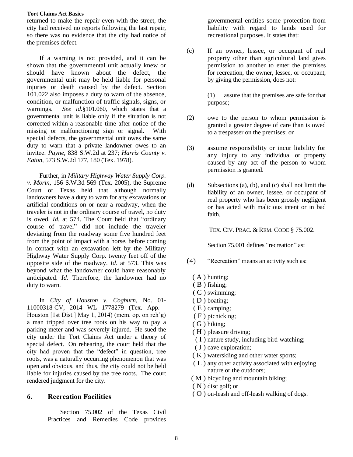returned to make the repair even with the street, the city had received no reports following the last repair, so there was no evidence that the city had notice of the premises defect.

If a warning is not provided, and it can be shown that the governmental unit actually knew or should have known about the defect, the governmental unit may be held liable for personal injuries or death caused by the defect. Section 101.022 also imposes a duty to warn of the absence, condition, or malfunction of traffic signals, signs, or warnings. *See id.*§101.060, which states that a governmental unit is liable only if the situation is not corrected within a reasonable time after notice of the missing or malfunctioning sign or signal. With special defects, the governmental unit owes the same duty to warn that a private landowner owes to an invitee. *Payne*, 838 S.W.2d at 237; *Harris County v. Eaton*, 573 S.W.2d 177, 180 (Tex. 1978).

Further, in *Military Highway Water Supply Corp. v. Morin*, 156 S.W.3d 569 (Tex. 2005), the Supreme Court of Texas held that although normally landowners have a duty to warn for any excavations or artificial conditions on or near a roadway, when the traveler is not in the ordinary course of travel, no duty is owed. *Id*. at 574. The Court held that "ordinary course of travel" did not include the traveler deviating from the roadway some five hundred feet from the point of impact with a horse, before coming in contact with an excavation left by the Military Highway Water Supply Corp. twenty feet off of the opposite side of the roadway. *Id*. at 573. This was beyond what the landowner could have reasonably anticipated. *Id*. Therefore, the landowner had no duty to warn.

In *City of Houston v. Cogburn*, No. 01- 11000318-CV, 2014 WL 1778279 (Tex. App.— Houston [1st Dist.] May 1, 2014) (mem. op. on reh'g) a man tripped over tree roots on his way to pay a parking meter and was severely injured. He sued the city under the Tort Claims Act under a theory of special defect. On rehearing, the court held that the city had proven that the "defect" in question, tree roots, was a naturally occurring phenomenon that was open and obvious, and thus, the city could not be held liable for injuries caused by the tree roots. The court rendered judgment for the city.

## <span id="page-11-0"></span>**6. Recreation Facilities**

Section 75.002 of the Texas Civil Practices and Remedies Code provides

governmental entities some protection from liability with regard to lands used for recreational purposes. It states that:

(c) If an owner, lessee, or occupant of real property other than agricultural land gives permission to another to enter the premises for recreation, the owner, lessee, or occupant, by giving the permission, does not:

> (1) assure that the premises are safe for that purpose;

- (2) owe to the person to whom permission is granted a greater degree of care than is owed to a trespasser on the premises; or
- (3) assume responsibility or incur liability for any injury to any individual or property caused by any act of the person to whom permission is granted.
- (d) Subsections (a), (b), and (c) shall not limit the liability of an owner, lessee, or occupant of real property who has been grossly negligent or has acted with malicious intent or in bad faith.

TEX. CIV. PRAC. & REM. CODE § 75.002.

Section 75.001 defines "recreation" as:

- (4) "Recreation" means an activity such as:
	- ( A ) hunting;
	- (B) fishing;
	- (C) swimming;
	- ( D ) boating;
	- ( E ) camping;
	- ( F ) picnicking;
	- ( G ) hiking;
	- ( H ) pleasure driving;
	- (I) nature study, including bird-watching;
	- ( J ) cave exploration;
	- ( K ) waterskiing and other water sports;
	- ( L ) any other activity associated with enjoying nature or the outdoors;
	- ( M ) bicycling and mountain biking;
	- ( N ) disc golf; or
	- ( O ) on-leash and off-leash walking of dogs.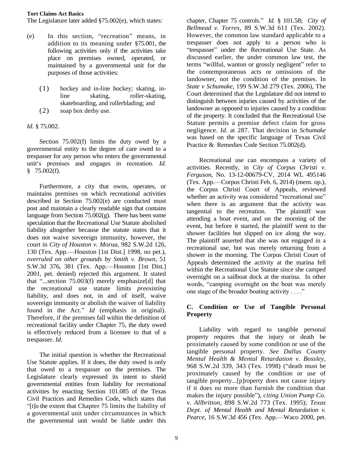The Legislature later added §75.002(e), which states:

- (e) In this section, "recreation" means, in addition to its meaning under §75.001, the following activities only if the activities take place on premises owned, operated, or maintained by a governmental unit for the purposes of those activities:
	- (1) hockey and in-line hockey; skating, inline skating, roller-skating, skateboarding, and rollerblading; and
	- (2) soap box derby use.

## *Id.* § 75.002.

Section 75.002(f) limits the duty owed by a governmental entity to the degree of care owed to a trespasser for any person who enters the governmental unit's premises and engages in recreation. *Id.*   $$75.002(f).$ 

Furthermore, a city that owns, operates, or maintains premises on which recreational activities described in Section 75.002(e) are conducted must post and maintain a clearly readable sign that contains language from Section  $75.002(g)$ . There has been some speculation that the Recreational Use Statute abolished liability altogether because the statute states that it does not waive sovereign immunity, however, the court in *City of Houston v. Morua*, 982 S.W.2d 126, 130 (Tex. App.—Houston [1st Dist.] 1998, no pet.), *overruled on other grounds by Smith v. Brown*, 51 S.W.3d 376, 381 (Tex. App.—Houston [1st Dist.] 2001, pet. denied) rejected this argument. It stated that "...section 75.003(f) merely emphasize[d] that the recreational use statute limits *preexisting* liability, and does not, in and of itself, waive sovereign immunity or abolish the waiver of liability found in the Act." *Id* (emphasis in original). Therefore, if the premises fall within the definition of recreational facility under Chapter 75, the duty owed is effectively reduced from a licensee to that of a trespasser. *Id*.

The initial question is whether the Recreational Use Statute applies. If it does, the duty owed is only that owed to a trespasser on the premises. The Legislature clearly expressed its intent to shield governmental entities from liability for recreational activities by enacting Section 101.085 of the Texas Civil Practices and Remedies Code, which states that "[t]o the extent that Chapter 75 limits the liability of a governmental unit under circumstances in which the governmental unit would be liable under this

chapter, Chapter 75 controls." *Id.* § 101.58; *City of Bellmead v. Torres,* 89 S.W.3d 611 (Tex. 2002). However, the common law standard applicable to a trespasser does not apply to a person who is "trespasser" under the Recreational Use State. As discussed earlier, the under common law test, the terms "willful, wanton or grossly negligent" refer to the contemporaneous acts or omissions of the landowner, not the condition of the premises. In *State v Schumake*, 199 S.W.3d 279 (Tex. 2006), The Court determined that the Legislature did not intend to distinguish between injuries caused by activities of the landowner as opposed to injuries caused by a condition of the property. It concluded that the Recreational Use Statute permits a premise defect claim for gross negligence. *Id*. at 287. That decision in *Schumake* was based on the specific language of Texas Civil Practice & Remedies Code Section 75.002(d).

Recreational use can encompass a variety of activities. Recently, in *City of Corpus Christi v. Ferguson*, No. 13-12-00679-CV, 2014 WL 495146 (Tex. App.—Corpus Christi Feb. 6, 2014) (mem. op.), the Corpus Christi Court of Appeals, reviewed whether an activity was considered "recreational use" when there is an argument that the activity was tangential to the recreation. The plaintiff was attending a boat event, and on the morning of the event, but before it started, the plaintiff went to the shower facilities but slipped on ice along the way. The plaintiff asserted that she was not engaged in a recreational use, but was merely returning from a shower in the morning. The Corpus Christi Court of Appeals determined the activity at the marina fell within the Recreational Use Statute since she camped overnight on a sailboat dock at the marina. In other words, "camping overnight on the boat was merely one stage of the broader boating activity . . . ."

## <span id="page-12-0"></span>**C. Condition or Use of Tangible Personal Property**

Liability with regard to tangible personal property requires that the injury or death be proximately caused by some condition or use of the tangible personal property. *See Dallas County Mental Health & Mental Retardation v. Bossley*, 968 S.W.2d 339, 343 (Tex. 1998) ("death must be proximately caused by the condition or use of tangible property...[p]roperty does not cause injury if it does no more than furnish the condition that makes the injury possible"), *citing Union Pump Co. v. Allbritton*, 898 S.W.2d 773 (Tex. 1995); *Texas Dept. of Mental Health and Mental Retardation v. Pearce*, 16 S.W.3d 456 (Tex. App.—Waco 2000, pet.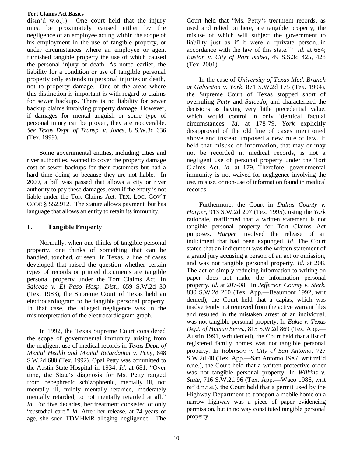dism'd w.o.j.). One court held that the injury must be proximately caused either by the negligence of an employee acting within the scope of his employment in the use of tangible property, or under circumstances where an employee or agent furnished tangible property the use of which caused the personal injury or death. As noted earlier, the liability for a condition or use of tangible personal property only extends to personal injuries or death, not to property damage. One of the areas where this distinction is important is with regard to claims for sewer backups. There is no liability for sewer backup claims involving property damage. However, if damages for mental anguish or some type of personal injury can be proven, they are recoverable. *See Texas Dept. of Transp. v. Jones*, 8 S.W.3d 636 (Tex. 1999).

Some governmental entities, including cities and river authorities, wanted to cover the property damage cost of sewer backups for their customers but had a hard time doing so because they are not liable. In 2009, a bill was passed that allows a city or river authority to pay these damages, even if the entity is not liable under the Tort Claims Act. TEX. LOC. GOV'T CODE § 552.912. The statute allows payment, but has language that allows an entity to retain its immunity.

# <span id="page-13-0"></span>**1. Tangible Property**

Normally, when one thinks of tangible personal property, one thinks of something that can be handled, touched, or seen. In Texas, a line of cases developed that raised the question whether certain types of records or printed documents are tangible personal property under the Tort Claims Act. In *Salcedo v. El Paso Hosp. Dist.*, 659 S.W.2d 30 (Tex. 1983), the Supreme Court of Texas held an electrocardiogram to be tangible personal property. In that case, the alleged negligence was in the misinterpretation of the electrocardiogram graph.

In 1992, the Texas Supreme Court considered the scope of governmental immunity arising from the negligent use of medical records in *Texas Dept. of Mental Health and Mental Retardation v. Petty*, 848 S.W.2d 680 (Tex. 1992). Opal Petty was committed to the Austin State Hospital in 1934. *Id*. at 681. "Over time, the State's diagnosis for Ms. Petty ranged from hebephrenic schizophrenic, mentally ill, not mentally ill, mildly mentally retarded, moderately mentally retarded, to not mentally retarded at all." *Id*. For five decades, her treatment consisted of only "custodial care." *Id*. After her release, at 74 years of age, she sued TDMHMR alleging negligence. The

Court held that "Ms. Petty's treatment records, as used and relied on here, are tangible property, the misuse of which will subject the government to liability just as if it were a 'private person...in accordance with the law of this state.'" *Id*. at 684; *Baston v. City of Port Isabel*, 49 S.S.3d 425, 428 (Tex. 2001).

In the case of *University of Texas Med. Branch at Galveston v. York*, 871 S.W.2d 175 (Tex. 1994), the Supreme Court of Texas stopped short of overruling *Petty* and *Salcedo*, and characterized the decisions as having very little precedential value, which would control in only identical factual circumstances. *Id*. at 178-79. *York* explicitly disapproved of the old line of cases mentioned above and instead imposed a new rule of law. It held that misuse of information, that may or may not be recorded in medical records, is not a negligent use of personal property under the Tort Claims Act. *Id*. at 179. Therefore, governmental immunity is not waived for negligence involving the use, misuse, or non-use of information found in medical records.

Furthermore, the Court in *Dallas County v. Harper*, 913 S.W.2d 207 (Tex. 1995), using the *York* rationale, reaffirmed that a written statement is not tangible personal property for Tort Claims Act purposes. *Harper* involved the release of an indictment that had been expunged. *Id*. The Court stated that an indictment was the written statement of a grand jury accusing a person of an act or omission, and was not tangible personal property. *Id*. at 208. The act of simply reducing information to writing on paper does not make the information personal property. *Id*. at 207-08. In *Jefferson County v. Sterk*, 830 S.W.2d 260 (Tex. App.—Beaumont 1992, writ denied), the Court held that a capias, which was inadvertently not removed from the active warrant files and resulted in the mistaken arrest of an individual, was not tangible personal property. In *Eakle v. Texas Dept. of Human Servs.*, 815 S.W.2d 869 (Tex. App.— Austin 1991, writ denied), the Court held that a list of registered family homes was not tangible personal property. In *Robinson v. City of San Antonio*, 727 S.W.2d 40 (Tex. App.—San Antonio 1987, writ ref'd n.r.e.), the Court held that a written protective order was not tangible personal property. In *Wilkins v. State*, 716 S.W.2d 96 (Tex. App.—Waco 1986, writ ref'd n.r.e.), the Court held that a permit used by the Highway Department to transport a mobile home on a narrow highway was a piece of paper evidencing permission, but in no way constituted tangible personal property.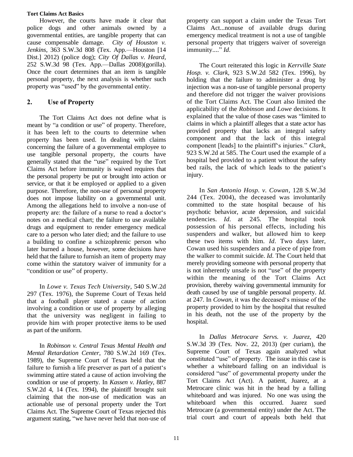However, the courts have made it clear that police dogs and other animals owned by a governmental entities, are tangible property that can cause compensable damage. *City of Houston v. Jenkins*, 363 S.W.3d 808 (Tex. App.—Houston [14 Dist.] 2012) (police dog); *City Of Dallas v. Heard*, 252 S.W.3d 98 (Tex. App.—Dallas 2008)(gorilla). Once the court determines that an item is tangible personal property, the next analysis is whether such property was "used" by the governmental entity.

# <span id="page-14-0"></span>**2. Use of Property**

The Tort Claims Act does not define what is meant by "a condition or use" of property. Therefore, it has been left to the courts to determine when property has been used. In dealing with claims concerning the failure of a governmental employee to use tangible personal property, the courts have generally stated that the "use" required by the Tort Claims Act before immunity is waived requires that the personal property be put or brought into action or service, or that it be employed or applied to a given purpose. Therefore, the non-use of personal property does not impose liability on a governmental unit. Among the allegations held to involve a non-use of property are: the failure of a nurse to read a doctor's notes on a medical chart; the failure to use available drugs and equipment to render emergency medical care to a person who later died; and the failure to use a building to confine a schizophrenic person who later burned a house, however, some decisions have held that the failure to furnish an item of property may come within the statutory waiver of immunity for a "condition or use" of property.

In *Lowe v. Texas Tech University*, 540 S.W.2d 297 (Tex. 1976), the Supreme Court of Texas held that a football player stated a cause of action involving a condition or use of property by alleging that the university was negligent in failing to provide him with proper protective items to be used as part of the uniform.

In *Robinson v. Central Texas Mental Health and Mental Retardation Center*, 780 S.W.2d 169 (Tex. 1989), the Supreme Court of Texas held that the failure to furnish a life preserver as part of a patient's swimming attire stated a cause of action involving the condition or use of property. In *Kassen v. Hatley*, 887 S.W.2d 4, 14 (Tex. 1994), the plaintiff brought suit claiming that the non-use of medication was an actionable use of personal property under the Tort Claims Act. The Supreme Court of Texas rejected this argument stating, "we have never held that non-use of

property can support a claim under the Texas Tort Claims Act...nonuse of available drugs during emergency medical treatment is not a use of tangible personal property that triggers waiver of sovereign immunity...." *Id*.

The Court reiterated this logic in *Kerrville State Hosp. v. Clark*, 923 S.W.2d 582 (Tex. 1996), by holding that the failure to administer a drug by injection was a non-use of tangible personal property and therefore did not trigger the waiver provisions of the Tort Claims Act. The Court also limited the applicability of the *Robinson* and *Lowe* decisions. It explained that the value of those cases was "limited to claims in which a plaintiff alleges that a state actor has provided property that lacks an integral safety component and that the lack of this integral component [leads] to the plaintiff's injuries." *Clark*, 923 S.W.2d at 585. The Court used the example of a hospital bed provided to a patient without the safety bed rails, the lack of which leads to the patient's injury.

In *San Antonio Hosp. v. Cowan*, 128 S.W.3d 244 (Tex. 2004), the deceased was involuntarily committed to the state hospital because of his psychotic behavior, acute depression, and suicidal tendencies. *Id*. at 245. The hospital took possession of his personal effects, including his suspenders and walker, but allowed him to keep these two items with him. *Id*. Two days later, Cowan used his suspenders and a piece of pipe from the walker to commit suicide. *Id*. The Court held that merely providing someone with personal property that is not inherently unsafe is not "use" of the property within the meaning of the Tort Claims Act provision, thereby waiving governmental immunity for death caused by use of tangible personal property. *Id*. at 247. In *Cowan*, it was the deceased's misuse of the property provided to him by the hospital that resulted in his death, not the use of the property by the hospital.

In *Dallas Metrocare Servs. v. Juarez*, 420 S.W.3d 39 (Tex. Nov. 22, 2013) (per curiam), the Supreme Court of Texas again analyzed what constituted "use" of property. The issue in this case is whether a whiteboard falling on an individual is considered "use" of governmental property under the Tort Claims Act (Act). A patient, Juarez, at a Metrocare clinic was hit in the head by a falling whiteboard and was injured. No one was using the whiteboard when this occurred. Juarez sued Metrocare (a governmental entity) under the Act. The trial court and court of appeals both held that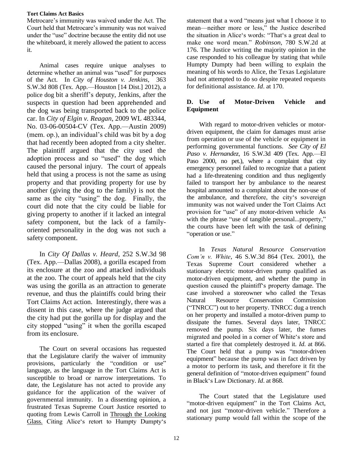Metrocare's immunity was waived under the Act. The Court held that Metrocare's immunity was not waived under the "use" doctrine because the entity did not use the whiteboard, it merely allowed the patient to access it.

Animal cases require unique analyses to determine whether an animal was "used" for purposes of the Act. In *City of Houston v. Jenkins*, 363 S.W.3d 808 (Tex. App.—Houston [14 Dist.] 2012), a police dog bit a sheriff's deputy, Jenkins, after the suspects in question had been apprehended and the dog was being transported back to the police car. In *City of Elgin v. Reagan*, 2009 WL 483344, No. 03-06-00504-CV (Tex. App.—Austin 2009) (mem. op.), an individual's child was bit by a dog that had recently been adopted from a city shelter. The plaintiff argued that the city used the adoption process and so "used" the dog which caused the personal injury. The court of appeals held that using a process is not the same as using property and that providing property for use by another (giving the dog to the family) is not the same as the city "using" the dog. Finally, the court did note that the city could be liable for giving property to another if it lacked an integral safety component, but the lack of a familyoriented personality in the dog was not such a safety component.

In *City Of Dallas v. Heard*, 252 S.W.3d 98 (Tex. App.—Dallas 2008), a gorilla escaped from its enclosure at the zoo and attacked individuals at the zoo. The court of appeals held that the city was using the gorilla as an attraction to generate revenue, and thus the plaintiffs could bring their Tort Claims Act action. Interestingly, there was a dissent in this case, where the judge argued that the city had put the gorilla up for display and the city stopped "using" it when the gorilla escaped from its enclosure.

The Court on several occasions has requested that the Legislature clarify the waiver of immunity provisions, particularly the "condition or use" language, as the language in the Tort Claims Act is susceptible to broad or narrow interpretations. To date, the Legislature has not acted to provide any guidance for the application of the waiver of governmental immunity. In a dissenting opinion, a frustrated Texas Supreme Court Justice resorted to quoting from Lewis Carroll in Through the Looking Glass. Citing Alice's retort to Humpty Dumpty's

statement that a word "means just what I choose it to mean—neither more or less," the Justice described the situation in Alice's words: "That's a great deal to make one word mean." *Robinson*, 780 S.W.2d at 176. The Justice writing the majority opinion in the case responded to his colleague by stating that while Humpty Dumpty had been willing to explain the meaning of his words to Alice, the Texas Legislature had not attempted to do so despite repeated requests for definitional assistance. *Id*. at 170.

# <span id="page-15-0"></span>**D. Use of Motor-Driven Vehicle and Equipment**

With regard to motor-driven vehicles or motordriven equipment, the claim for damages must arise from operation or use of the vehicle or equipment in performing governmental functions. *See City of El Paso v. Hernandez*, 16 S.W.3d 409 (Tex. App.—El Paso 2000, no pet.), where a complaint that city emergency personnel failed to recognize that a patient had a life-threatening condition and thus negligently failed to transport her by ambulance to the nearest hospital amounted to a complaint about the non-use of the ambulance, and therefore, the city's sovereign immunity was not waived under the Tort Claims Act provision for "use" of any motor-driven vehicle As with the phrase "use of tangible personal...property," the courts have been left with the task of defining "operation or use."

In *Texas Natural Resource Conservation Com'n v. White*, 46 S.W.3d 864 (Tex. 2001), the Texas Supreme Court considered whether a stationary electric motor-driven pump qualified as motor-driven equipment, and whether the pump in question caused the plaintiff's property damage. The case involved a storeowner who called the Texas Natural Resource Conservation Commission ("TNRCC") out to her property. TNRCC dug a trench on her property and installed a motor-driven pump to dissipate the fumes. Several days later, TNRCC removed the pump. Six days later, the fumes migrated and pooled in a corner of White's store and started a fire that completely destroyed it. *Id*. at 866. The Court held that a pump was "motor-driven equipment" because the pump was in fact driven by a motor to perform its task, and therefore it fit the general definition of "motor-driven equipment" found in Black's Law Dictionary. *Id*. at 868.

The Court stated that the Legislature used "motor-driven equipment" in the Tort Claims Act, and not just "motor-driven vehicle." Therefore a stationary pump would fall within the scope of the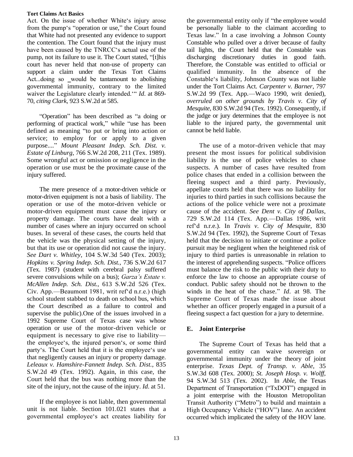Act. On the issue of whether White's injury arose from the pump's "operation or use," the Court found that White had not presented any evidence to support the contention. The Court found that the injury must have been caused by the TNRCC's actual use of the pump, not its failure to use it. The Court stated, "[t]his court has never held that non-use of property can support a claim under the Texas Tort Claims Act...doing so \_would be tantamount to abolishing governmental immunity, contrary to the limited waiver the Legislature clearly intended.'" *Id*. at 869- 70, *citing Clark*, 923 S.W.2d at 585.

"Operation" has been described as "a doing or performing of practical work," while "use has been defined as meaning "to put or bring into action or service; to employ for or apply to a given purpose...." *Mount Pleasant Indep. Sch. Dist. v. Estate of Linburg*, 766 S.W.2d 208, 211 (Tex. 1989). Some wrongful act or omission or negligence in the operation or use must be the proximate cause of the injury suffered.

The mere presence of a motor-driven vehicle or motor-driven equipment is not a basis of liability. The operation or use of the motor-driven vehicle or motor-driven equipment must cause the injury or property damage. The courts have dealt with a number of cases where an injury occurred on school buses. In several of these cases, the courts held that the vehicle was the physical setting of the injury, but that its use or operation did not cause the injury. *See Dart v. Whitley,* 104 S.W.3d 540 (Tex. 2003); *Hopkins v. Spring Indep. Sch. Dist.*, 736 S.W.2d 617 (Tex. 1987) (student with cerebral palsy suffered severe convulsions while on a bus); *Garza's Estate v. McAllen Indep. Sch. Dist.*, 613 S.W.2d 526 (Tex. Civ. App.—Beaumont 1981, writ ref'd n.r.e.) (high school student stabbed to death on school bus, which the Court described as a failure to control and supervise the public).One of the issues involved in a 1992 Supreme Court of Texas case was whose operation or use of the motor-driven vehicle or equipment is necessary to give rise to liability the employee's, the injured person's, or some third party's. The Court held that it is the employee's use that negligently causes an injury or property damage. *Leleaux v. Hamshire-Fannett Indep. Sch. Dist.*, 835 S.W.2d 49 (Tex. 1992). Again, in this case, the Court held that the bus was nothing more than the site of the injury, not the cause of the injury. *Id*. at 51.

If the employee is not liable, then governmental unit is not liable. Section 101.021 states that a governmental employee's act creates liability for the governmental entity only if "the employee would be personally liable to the claimant according to Texas law." In a case involving a Johnson County Constable who pulled over a driver because of faulty tail lights, the Court held that the Constable was discharging discretionary duties in good faith. Therefore, the Constable was entitled to official or qualified immunity. In the absence of the Constable's liability, Johnson County was not liable under the Tort Claims Act. *Carpenter v. Barner*, 797 S.W.2d 99 (Tex. App.—Waco 1990, writ denied), *overruled on other grounds by Travis v. City of Mesquite*, 830 S.W.2d 94 (Tex. 1992). Consequently, if the judge or jury determines that the employee is not liable to the injured party, the governmental unit cannot be held liable.

The use of a motor-driven vehicle that may present the most issues for political subdivision liability is the use of police vehicles to chase suspects. A number of cases have resulted from police chases that ended in a collision between the fleeing suspect and a third party. Previously, appellate courts held that there was no liability for injuries to third parties in such collisions because the actions of the police vehicle were not a proximate cause of the accident. *See Dent v. City of Dallas*, 729 S.W.2d 114 (Tex. App.—Dallas 1986, writ ref'd n.r.e.). In *Travis v. City of Mesquite*, 830 S.W.2d 94 (Tex. 1992), the Supreme Court of Texas held that the decision to initiate or continue a police pursuit may be negligent when the heightened risk of injury to third parties is unreasonable in relation to the interest of apprehending suspects. "Police officers must balance the risk to the public with their duty to enforce the law to choose an appropriate course of conduct. Public safety should not be thrown to the winds in the heat of the chase." *Id*. at 98. The Supreme Court of Texas made the issue about whether an officer properly engaged in a pursuit of a fleeing suspect a fact question for a jury to determine.

# <span id="page-16-0"></span>**E. Joint Enterprise**

The Supreme Court of Texas has held that a governmental entity can waive sovereign or governmental immunity under the theory of joint enterprise. *Texas Dept. of Transp. v. Able*, 35 S.W.3d 608 (Tex. 2000); *St. Joseph Hosp. v. Wolff*, 94 S.W.3d 513 (Tex. 2002). In *Able*, the Texas Department of Transportation ("TxDOT") engaged in a joint enterprise with the Houston Metropolitan Transit Authority ("Metro") to build and maintain a High Occupancy Vehicle ("HOV") lane. An accident occurred which implicated the safety of the HOV lane.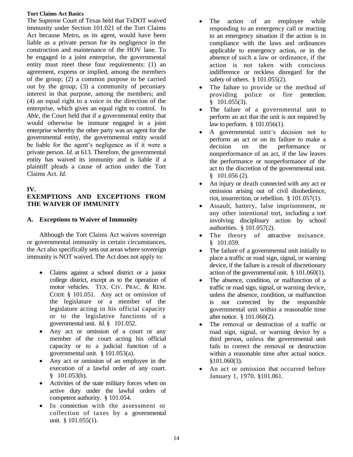The Supreme Court of Texas held that TxDOT waived immunity under Section 101.021 of the Tort Claims Act because Metro, as its agent, would have been liable as a private person for its negligence in the construction and maintenance of the HOV lane. To be engaged in a joint enterprise, the governmental entity must meet these four requirements: (1) an agreement, express or implied, among the members of the group; (2) a common purpose to be carried out by the group; (3) a community of pecuniary interest in that purpose, among the members; and (4) an equal right to a voice in the direction of the enterprise, which gives an equal right to control. In *Able*, the Court held that if a governmental entity that would otherwise be immune engaged in a joint enterprise whereby the other party was an agent for the governmental entity, the governmental entity would be liable for the agent's negligence as if it were a private person. *Id*. at 613. Therefore, the governmental entity has waived its immunity and is liable if a plaintiff pleads a cause of action under the Tort Claims Act. *Id*.

# <span id="page-17-0"></span>**IV.**

## **EXEMPTIONS AND EXCEPTIONS FROM THE WAIVER OF IMMUNITY**

# <span id="page-17-1"></span>**A. Exceptions to Waiver of Immunity**

Although the Tort Claims Act waives sovereign or governmental immunity in certain circumstances, the Act also specifically sets out areas where sovereign immunity is NOT waived. The Act does not apply to:

- Claims against a school district or a junior college district, except as to the operation of motor vehicles. TEX. CIV. PRAC. & REM. CODE § 101.051. Any act or omission of the legislature or a member of the legislature acting in his official capacity or to the legislative functions of a governmental unit. *Id.* § 101.052.
- Any act or omission of a court or any member of the court acting his official capacity or to a judicial function of a governmental unit. § 101.053(a).
- Any act or omission of an employee in the execution of a lawful order of any court.  $§$  101.053(b).
- Activities of the state military forces when on active duty under the lawful orders of competent authority. § 101.054.
- In connection with the assessment or collection of taxes by a governmental unit. § 101.055(1).
- The action of an employee while responding to an emergency call or reacting to an emergency situation if the action is in compliance with the laws and ordinances applicable to emergency action, or in the absence of such a law or ordinance, if the action is not taken with conscious indifference or reckless disregard for the safety of others. § 101.055(2).
- The failure to provide or the method of providing police or fire protection.  $§$  101.055(3).
- The failure of a governmental unit to perform an act that the unit is not required by law to perform. § 101.056(1).
- A governmental unit's decision not to perform an act or on its failure to make a decision on the performance or nonperformance of an act, if the law leaves the performance or nonperformance of the act to the discretion of the governmental unit.  $§$  101.056 (2).
- An injury or death connected with any act or omission arising out of civil disobedience, riot, insurrection, or rebellion. § 101.057(1).
- Assault, battery, false imprisonment, or any other intentional tort, including a tort involving disciplinary action by school authorities. § 101.057(2).
- The theory of attractive nuisance.  $§$  101.059.
- The failure of a governmental unit initially to place a traffic or road sign, signal, or warning device, if the failure is a result of discretionary action of the governmental unit. § 101.060(1).
- The absence, condition, or malfunction of a traffic or road sign, signal, or warning device, unless the absence, condition, or malfunction is not corrected by the responsible governmental unit within a reasonable time after notice. § 101.060(2).
- The removal or destruction of a traffic or road sign, signal, or warning device by a third person, unless the governmental unit fails to correct the removal or destruction within a reasonable time after actual notice. §101.060(3).
- An act or omission that occurred before January 1, 1970. §101.061.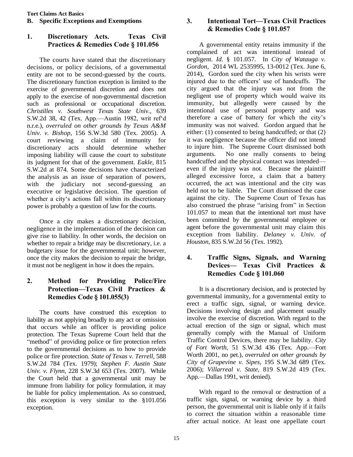# <span id="page-18-1"></span><span id="page-18-0"></span>**1. Discretionary Acts. Texas Civil Practices & Remedies Code § 101.056**

The courts have stated that the discretionary decisions, or policy decisions, of a governmental entity are not to be second-guessed by the courts. The discretionary function exception is limited to the exercise of governmental discretion and does not apply to the exercise of non-governmental discretion such as professional or occupational discretion. *Christilles v. Southwest Texas State Univ.*, 639 S.W.2d 38, 42 (Tex. App.—Austin 1982, writ ref'd n.r.e.), *overruled on other grounds by Texas A&M Univ. v. Bishop*, 156 S.W.3d 580 (Tex. 2005). A court reviewing a claim of immunity for discretionary acts should determine whether imposing liability will cause the court to substitute its judgment for that of the government. *Eakle*, 815 S.W.2d at 874. Some decisions have characterized the analysis as an issue of separation of powers, with the judiciary not second-guessing an executive or legislative decision. The question of whether a city's actions fall within its discretionary power is probably a question of law for the courts.

Once a city makes a discretionary decision, negligence in the implementation of the decision can give rise to liability. In other words, the decision on whether to repair a bridge may be discretionary, i.e. a budgetary issue for the governmental unit; however, once the city makes the decision to repair the bridge, it must not be negligent in how it does the repairs.

# <span id="page-18-2"></span>**2. Method for Providing Police/Fire Protection—Texas Civil Practices & Remedies Code § 101.055(3)**

The courts have construed this exception to liability as not applying broadly to any act or omission that occurs while an officer is providing police protection. The Texas Supreme Court held that the "method" of providing police or fire protection refers to the governmental decisions as to how to provide police or fire protection. *State of Texas v. Terrell*, 588 S.W.2d 784 (Tex. 1979); *Stephen F. Austin State Univ. v. Flynn*, 228 S.W.3d 653 (Tex. 2007). While the Court held that a governmental unit may be immune from liability for policy formulation, it may be liable for policy implementation. As so construed, this exception is very similar to the §101.056 exception.

# <span id="page-18-3"></span>**3. Intentional Tort—Texas Civil Practices & Remedies Code § 101.057**

A governmental entity retains immunity if the complained of act was intentional instead of negligent. *Id.* § 101.057. In *City of Watauga v. Gordon*, 2014 WL 2535995, 13-0012 (Tex. June 6, 2014), Gordon sued the city when his wrists were injured due to the officers' use of handcuffs. The city argued that the injury was not from the negligent use of property which would waive its immunity, but allegedly were caused by the intentional use of personal property and was therefore a case of battery for which the city's immunity was not waived. Gordon argued that he either: (1) consented to being handcuffed; or that (2) it was negligence because the officer did not intend to injure him. The Supreme Court dismissed both arguments. No one really consents to being handcuffed and the physical contact was intended even if the injury was not. Because the plaintiff alleged excessive force, a claim that a battery occurred, the act was intentional and the city was held not to be liable. The Court dismissed the case against the city. The Supreme Court of Texas has also construed the phrase "arising from" in Section 101.057 to mean that the intentional tort must have been committed by the governmental employee or agent before the governmental unit may claim this exception from liability. *Delaney v. Univ. of Houston*, 835 S.W.2d 56 (Tex. 1992).

# <span id="page-18-4"></span>**4. Traffic Signs, Signals, and Warning Devices— Texas Civil Practices & Remedies Code § 101.060**

It is a discretionary decision, and is protected by governmental immunity, for a governmental entity to erect a traffic sign, signal, or warning device. Decisions involving design and placement usually involve the exercise of discretion. With regard to the actual erection of the sign or signal, which must generally comply with the Manual of Uniform Traffic Control Devices, there may be liability. *City of Fort Worth*, 51 S.W.3d 436 (Tex. App.—Fort Worth 2001, no pet.), *overruled on other grounds by City of Grapevine v. Sipes*, 195 S.W.3d 689 (Tex. 2006); *Villarreal v. State*, 819 S.W.2d 419 (Tex. App.—Dallas 1991, writ denied).

With regard to the removal or destruction of a traffic sign, signal, or warning device by a third person, the governmental unit is liable only if it fails to correct the situation within a reasonable time after actual notice. At least one appellate court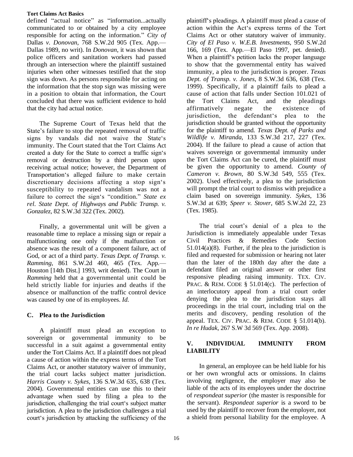defined "actual notice" as "information...actually communicated to or obtained by a city employee responsible for acting on the information." *City of*  Dallas *v. Donovan*, 768 S.W.2d 905 (Tex. App.— Dallas 1989, no writ). In *Donovan*, it was shown that police officers and sanitation workers had passed through an intersection where the plaintiff sustained injuries when other witnesses testified that the stop sign was down. As persons responsible for acting on the information that the stop sign was missing were in a position to obtain that information, the Court concluded that there was sufficient evidence to hold that the city had actual notice.

The Supreme Court of Texas held that the State's failure to stop the repeated removal of traffic signs by vandals did not waive the State's immunity. The Court stated that the Tort Claims Act created a duty for the State to correct a traffic sign's removal or destruction by a third person upon receiving actual notice; however, the Department of Transportation's alleged failure to make certain discretionary decisions affecting a stop sign's susceptibility to repeated vandalism was not a failure to correct the sign's "condition." *State ex rel. State Dept. of Highways and Public Transp. v. Gonzalez*, 82 S.W.3d 322 (Tex. 2002).

Finally, a governmental unit will be given a reasonable time to replace a missing sign or repair a malfunctioning one only if the malfunction or absence was the result of a component failure, act of God, or act of a third party. *Texas Dept. of Transp. v. Ramming*, 861 S.W.2d 460, 465 (Tex. App.— Houston [14th Dist.] 1993, writ denied). The Court in *Ramming* held that a governmental unit could be held strictly liable for injuries and deaths if the absence or malfunction of the traffic control device was caused by one of its employees. *Id*.

# <span id="page-19-0"></span>**C. Plea to the Jurisdiction**

A plaintiff must plead an exception to sovereign or governmental immunity to be successful in a suit against a governmental entity under the Tort Claims Act. If a plaintiff does not plead a cause of action within the express terms of the Tort Claims Act, or another statutory waiver of immunity, the trial court lacks subject matter jurisdiction. *Harris County v. Sykes*, 136 S.W.3d 635, 638 (Tex. 2004). Governmental entities can use this to their advantage when sued by filing a plea to the jurisdiction, challenging the trial court's subject matter jurisdiction. A plea to the jurisdiction challenges a trial court's jurisdiction by attacking the sufficiency of the

plaintiff's pleadings. A plaintiff must plead a cause of action within the Act's express terms of the Tort Claims Act or other statutory waiver of immunity. *City of El Paso v. W.E.B. Investments*, 950 S.W.2d 166, 169 (Tex. App.—El Paso 1997, pet. denied). When a plaintiff's petition lacks the proper language to show that the governmental entity has waived immunity, a plea to the jurisdiction is proper. *Texas Dept. of Transp. v. Jones*, 8 S.W.3d 636, 638 (Tex. 1999). Specifically, if a plaintiff fails to plead a cause of action that falls under Section 101.021 of the Tort Claims Act, and the pleadings affirmatively negate the existence of jurisdiction, the defendant's plea to the jurisdiction should be granted without the opportunity for the plaintiff to amend. *Texas Dept. of Parks and Wildlife v. Miranda*, 133 S.W.3d 217, 227 (Tex. 2004). If the failure to plead a cause of action that waives sovereign or governmental immunity under the Tort Claims Act can be cured, the plaintiff must be given the opportunity to amend. *County of Cameron v. Brown*, 80 S.W.3d 549, 555 (Tex. 2002). Used effectively, a plea to the jurisdiction will prompt the trial court to dismiss with prejudice a claim based on sovereign immunity. *Sykes*, 136 S.W.3d at 639; *Speer v. Stover*, 685 S.W.2d 22, 23 (Tex. 1985).

The trial court's denial of a plea to the Jurisdiction is immediately appealable under Texas Civil Practices & Remedies Code Section  $51.014(a)(8)$ . Further, if the plea to the jurisdiction is filed and requested for submission or hearing not later than the later of the 180th day after the date a defendant filed an original answer or other first responsive pleading raising immunity. TEX. CIV. PRAC. & REM. CODE  $\S$  51.014(c). The perfection of an interlocutory appeal from a trial court order denying the plea to the jurisdiction stays all proceedings in the trial court, including trial on the merits and discovery, pending resolution of the appeal. TEX. CIV. PRAC. & REM. CODE § 51.014(b). *In re Hudak*, 267 S.W 3d 569 (Tex. App. 2008).

# <span id="page-19-1"></span>**V. INDIVIDUAL IMMUNITY FROM LIABILITY**

In general, an employee can be held liable for his or her own wrongful acts or omissions. In claims involving negligence, the employer may also be liable of the acts of its employees under the doctrine of *respondeat superior* (the master is responsible for the servant). *Respondeat superior* is a sword to be used by the plaintiff to recover from the employer, not a shield from personal liability for the employee. A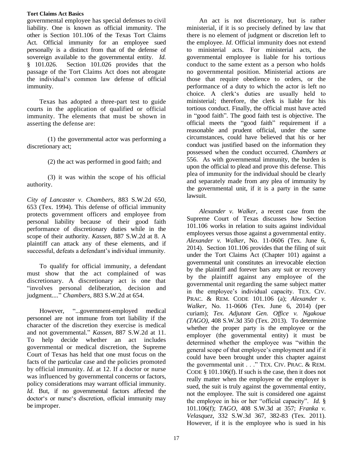governmental employee has special defenses to civil liability. One is known as official immunity. The other is Section 101.106 of the Texas Tort Claims Act. Official immunity for an employee sued personally is a distinct from that of the defense of sovereign available to the governmental entity. *Id.*  $§$  101.026. Section 101.026 provides that the passage of the Tort Claims Act does not abrogate the individual's common law defense of official immunity.

Texas has adopted a three-part test to guide courts in the application of qualified or official immunity. The elements that must be shown in asserting the defense are:

(1) the governmental actor was performing a discretionary act;

(2) the act was performed in good faith; and

(3) it was within the scope of his official authority.

*City of Lancaster v. Chambers*, 883 S.W.2d 650, 653 (Tex. 1994). This defense of official immunity protects government officers and employee from personal liability because of their good faith performance of discretionary duties while in the scope of their authority. *Kassen*, 887 S.W.2d at 8. A plaintiff can attack any of these elements, and if successful, defeats a defendant's individual immunity.

To qualify for official immunity, a defendant must show that the act complained of was discretionary. A discretionary act is one that "involves personal deliberation, decision and judgment...." *Chambers*, 883 S.W.2d at 654.

However, "...government-employed medical personnel are not immune from tort liability if the character of the discretion they exercise is medical and not governmental." *Kassen*, 887 S.W.2d at 11. To help decide whether an act includes governmental or medical discretion, the Supreme Court of Texas has held that one must focus on the facts of the particular case and the policies promoted by official immunity. *Id*. at 12. If a doctor or nurse was influenced by governmental concerns or factors, policy considerations may warrant official immunity. *Id*. But, if no governmental factors affected the doctor's or nurse's discretion, official immunity may be improper.

An act is not discretionary, but is rather ministerial, if it is so precisely defined by law that there is no element of judgment or discretion left to the employee. *Id*. Official immunity does not extend to ministerial acts. For ministerial acts, the governmental employee is liable for his tortious conduct to the same extent as a person who holds no governmental position. Ministerial actions are those that require obedience to orders, or the performance of a duty to which the actor is left no choice. A clerk's duties are usually held to ministerial; therefore, the clerk is liable for his tortious conduct. Finally, the official must have acted in "good faith". The good faith test is objective. The official meets the "good faith" requirement if a reasonable and prudent official, under the same circumstances, could have believed that his or her conduct was justified based on the information they possessed when the conduct occurred. *Chambers at*  556. As with governmental immunity, the burden is upon the official to plead and prove this defense. This plea of immunity for the individual should be clearly and separately made from any plea of immunity by the governmental unit, if it is a party in the same lawsuit.

*Alexander v. Walker*, a recent case from the Supreme Court of Texas discusses how Section 101.106 works in relation to suits against individual employees versus those against a governmental entity. *Alexander v. Walker*, No. 11-0606 (Tex. June 6, 2014). Section 101.106 provides that the filing of suit under the Tort Claims Act (Chapter 101) against a governmental unit constitutes an irrevocable election by the plaintiff and forever bars any suit or recovery by the plaintiff against any employee of the governmental unit regarding the same subject matter in the employee's individual capacity. TEX. CIV. PRAC. & REM. CODE 101.106 (a); *Alexander v. Walker*, No. 11-0606 (Tex. June 6, 2014) (per curiam); *Tex. Adjutant Gen. Office v. Ngakoue (TAGO)*, 408 S.W.3d 350 (Tex. 2013). To determine whether the proper party is the employee or the employer (the governmental entity) it must be determined whether the employee was "within the general scope of that employee's employment and if it could have been brought under this chapter against the governmental unit . . ." TEX. CIV. PRAC. & REM. CODE § 101.106(f). If such is the case, then it does not really matter when the employee or the employer is sued, the suit is truly against the governmental entity, not the employee. The suit is considered one against the employee in his or her "official capacity". *Id.* § 101.106(f); *TAGO*, 408 S.W.3d at 357; *Franka v. Velasquez*, 332 S.W.3d 367, 382-83 (Tex. 2011). However, if it is the employee who is sued in his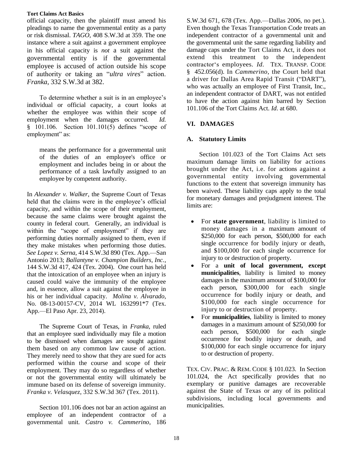official capacity, then the plaintiff must amend his pleadings to name the governmental entity as a party or risk dismissal. *TAGO*, 408 S.W.3d at 359. The one instance where a suit against a government employee in his official capacity is *not* a suit against the governmental entity is if the governmental employee is accused of action outside his scope of authority or taking an "*ultra vires*" action. *Franka*, 332 S.W.3d at 382.

To determine whether a suit is in an employee's individual or official capacity, a court looks at whether the employee was within their scope of employment when the damages occurred. *Id.*  $§$  101.106. Section 101.101(5) defines "scope of employment" as:

means the performance for a governmental unit of the duties of an employee's office or employment and includes being in or about the performance of a task lawfully assigned to an employee by competent authority.

In *Alexander v. Walker*, the Supreme Court of Texas held that the claims were in the employee's official capacity, and within the scope of their employment, because the same claims were brought against the county in federal court. Generally, an individual is within the "scope of employment" if they are performing duties normally assigned to them, even if they make mistakes when performing those duties. *See Lopez v. Serna*, 414 S.W.3d 890 (Tex. App.—San Antonio 2013; *Ballantyne v. Champion Builders, Inc.*, 144 S.W.3d 417, 424 (Tex. 2004). One court has held that the intoxication of an employee when an injury is caused could waive the immunity of the employee and, in essence, allow a suit against the employee in his or her individual capacity. *Molina v. Alvarado*, No. 08-13-00157-CV, 2014 WL 1632991\*7 (Tex. App.—El Paso Apr. 23, 2014).

The Supreme Court of Texas, in *Franka*, ruled that an employee sued individually may file a motion to be dismissed when damages are sought against them based on any common law cause of action. They merely need to show that they are sued for acts performed within the course and scope of their employment. They may do so regardless of whether or not the governmental entity will ultimately be immune based on its defense of sovereign immunity. *Franka v. Velasquez*, 332 S.W.3d 367 (Tex. 2011).

Section 101.106 does not bar an action against an employee of an independent contractor of a governmental unit. *Castro v. Cammerino*, 186

S.W.3d 671, 678 (Tex. App.—Dallas 2006, no pet.). Even though the Texas Transportation Code treats an independent contractor of a governmental unit and the governmental unit the same regarding liability and damage caps under the Tort Claims Act, it does not extend this treatment to the independent contractor's employees. *Id*. TEX. TRANSP. CODE §A452.056(d). In *Cammerino*, the Court held that a driver for Dallas Area Rapid Transit ("DART"), who was actually an employee of First Transit, Inc., an independent contractor of DART, was not entitled to have the action against him barred by Section 101.106 of the Tort Claims Act. *Id*. at 680.

# <span id="page-21-0"></span>**VI. DAMAGES**

## <span id="page-21-1"></span>**A. Statutory Limits**

Section 101.023 of the Tort Claims Act sets maximum damage limits on liability for actions brought under the Act, i.e. for actions against a governmental entity involving governmental functions to the extent that sovereign immunity has been waived. These liability caps apply to the total for monetary damages and prejudgment interest. The limits are:

- For **state government**, liability is limited to money damages in a maximum amount of \$250,000 for each person, \$500,000 for each single occurrence for bodily injury or death, and \$100,000 for each single occurrence for injury to or destruction of property.
- For a **unit of local government, except municipalities**, liability is limited to money damages in the maximum amount of \$100,000 for each person, \$300,000 for each single occurrence for bodily injury or death, and \$100,000 for each single occurrence for injury to or destruction of property.
- For **municipalities**, liability is limited to money damages in a maximum amount of \$250,000 for each person, \$500,000 for each single occurrence for bodily injury or death, and \$100,000 for each single occurrence for injury to or destruction of property.

TEX. CIV. PRAC. & REM. CODE § 101.023. In Section 101.024, the Act specifically provides that no exemplary or punitive damages are recoverable against the State of Texas or any of its political subdivisions, including local governments and municipalities.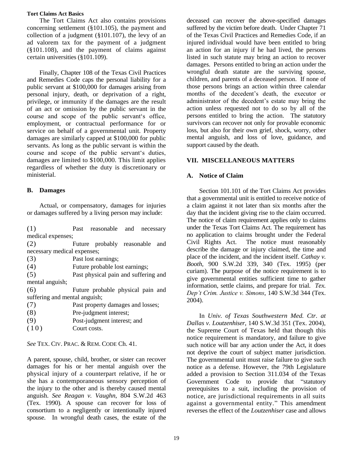The Tort Claims Act also contains provisions concerning settlement (§101.105), the payment and collection of a judgment  $(\S101.107)$ , the levy of an ad valorem tax for the payment of a judgment (§101.108), and the payment of claims against certain universities (§101.109).

Finally, Chapter 108 of the Texas Civil Practices and Remedies Code caps the personal liability for a public servant at \$100,000 for damages arising from personal injury, death, or deprivation of a right, privilege, or immunity if the damages are the result of an act or omission by the public servant in the course and scope of the public servant's office, employment, or contractual performance for or service on behalf of a governmental unit. Property damages are similarly capped at \$100,000 for public servants. As long as the public servant is within the course and scope of the public servant's duties, damages are limited to \$100,000. This limit applies regardless of whether the duty is discretionary or ministerial.

## <span id="page-22-0"></span>**B. Damages**

Actual, or compensatory, damages for injuries or damages suffered by a living person may include:

(1) Past reasonable and necessary medical expenses;

(2) Future probably reasonable and necessary medical expenses;

- (3) Past lost earnings;
- (4) Future probable lost earnings;

(5) Past physical pain and suffering and mental anguish;

(6) Future probable physical pain and suffering and mental anguish;

- (7) Past property damages and losses;
- (8) Pre-judgment interest;
- (9) Post-judgment interest; and
- $(10)$  Court costs.

*See* TEX. CIV. PRAC. & REM. CODE Ch. 41.

A parent, spouse, child, brother, or sister can recover damages for his or her mental anguish over the physical injury of a counterpart relative, if he or she has a contemporaneous sensory perception of the injury to the other and is thereby caused mental anguish. *See Reagan v. Vaughn*, 804 S.W.2d 463 (Tex. 1990)*.* A spouse can recover for loss of consortium to a negligently or intentionally injured spouse. In wrongful death cases, the estate of the

deceased can recover the above-specified damages suffered by the victim before death. Under Chapter 71 of the Texas Civil Practices and Remedies Code, if an injured individual would have been entitled to bring an action for an injury if he had lived, the persons listed in such statute may bring an action to recover damages. Persons entitled to bring an action under the wrongful death statute are the surviving spouse, children, and parents of a deceased person. If none of those persons brings an action within three calendar months of the decedent's death, the executor or administrator of the decedent's estate may bring the action unless requested not to do so by all of the persons entitled to bring the action. The statutory survivors can recover not only for provable economic loss, but also for their own grief, shock, worry, other mental anguish, and loss of love, guidance, and support caused by the death.

## <span id="page-22-1"></span>**VII. MISCELLANEOUS MATTERS**

## <span id="page-22-2"></span>**A. Notice of Claim**

Section 101.101 of the Tort Claims Act provides that a governmental unit is entitled to receive notice of a claim against it not later than six months after the day that the incident giving rise to the claim occurred. The notice of claim requirement applies only to claims under the Texas Tort Claims Act. The requirement has no application to claims brought under the Federal Civil Rights Act. The notice must reasonably describe the damage or injury claimed, the time and place of the incident, and the incident itself. *Cathay v. Booth*, 900 S.W.2d 339, 340 (Tex. 1995) (per curiam). The purpose of the notice requirement is to give governmental entities sufficient time to gather information, settle claims, and prepare for trial. *Tex. Dep't Crim. Justice v. Simons*, 140 S.W.3d 344 (Tex. 2004).

In *Univ. of Texas Southwestern Med. Ctr. at Dallas v. Loutzenhiser*, 140 S.W.3d 351 (Tex. 2004), the Supreme Court of Texas held that though this notice requirement is mandatory, and failure to give such notice will bar any action under the Act, it does not deprive the court of subject matter jurisdiction. The governmental unit must raise failure to give such notice as a defense. However, the 79th Legislature added a provision to Section 311.034 of the Texas Government Code to provide that "statutory prerequisites to a suit, including the provision of notice, are jurisdictional requirements in all suits against a governmental entity." This amendment reverses the effect of the *Loutzenhiser* case and allows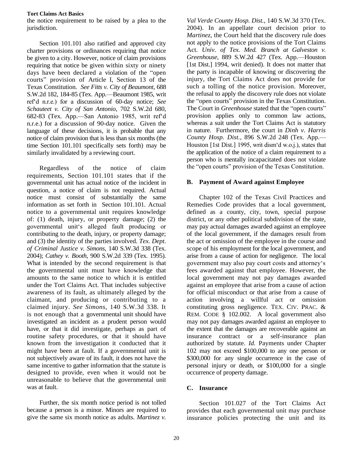the notice requirement to be raised by a plea to the jurisdiction.

Section 101.101 also ratified and approved city charter provisions or ordinances requiring that notice be given to a city. However, notice of claim provisions requiring that notice be given within sixty or ninety days have been declared a violation of the "open courts" provision of Article I, Section 13 of the Texas Constitution. *See Fitts v. City of Beaumont*, 688 S.W.2d 182, 184-85 (Tex. App.—Beaumont 1985, writ ref'd n.r.e.) for a discussion of 60-day notice; *See Schauteet v. City of San Antonio*, 702 S.W.2d 680, 682-83 (Tex. App.—San Antonio 1985, writ ref'd n.r.e.) for a discussion of 90-day notice. Given the language of these decisions, it is probable that any notice of claim provision that is less than six months (the time Section 101.101 specifically sets forth) may be similarly invalidated by a reviewing court.

Regardless of the notice of claim requirements, Section 101.101 states that if the governmental unit has actual notice of the incident in question, a notice of claim is not required. Actual notice must consist of substantially the same information as set forth in Section 101.101. Actual notice to a governmental unit requires knowledge of: (1) death, injury, or property damage; (2) the governmental unit's alleged fault producing or contributing to the death, injury, or property damage; and (3) the identity of the parties involved. *Tex. Dept. of Criminal Justice v. Simons*, 140 S.W.3d 338 (Tex. 2004); *Cathey v. Booth*, 900 S.W.2d 339 (Tex. 1995). What is intended by the second requirement is that the governmental unit must have knowledge that amounts to the same notice to which it is entitled under the Tort Claims Act. That includes subjective awareness of its fault, as ultimately alleged by the claimant, and producing or contributing to a claimed injury. *See Simons*, 140 S.W.3d 338. It is not enough that a governmental unit should have investigated an incident as a prudent person would have, or that it did investigate, perhaps as part of routine safety procedures, or that it should have known from the investigation it conducted that it might have been at fault. If a governmental unit is not subjectively aware of its fault, it does not have the same incentive to gather information that the statute is designed to provide, even when it would not be unreasonable to believe that the governmental unit was at fault.

Further, the six month notice period is not tolled because a person is a minor. Minors are required to give the same six month notice as adults. *Martinez v.* 

*Val Verde County Hosp. Dist.*, 140 S.W.3d 370 (Tex. 2004). In an appellate court decision prior to *Martinez*, the Court held that the discovery rule does not apply to the notice provisions of the Tort Claims Act. *Univ. of Tex. Med. Branch at Galveston v. Greenhouse*, 889 S.W.2d 427 (Tex. App.—Houston [1st Dist.] 1994, writ denied). It does not matter that the party is incapable of knowing or discovering the injury, the Tort Claims Act does not provide for such a tolling of the notice provision. Moreover, the refusal to apply the discovery rule does not violate the "open courts" provision in the Texas Constitution. The Court in *Greenhouse* stated that the "open courts" provision applies only to common law actions, whereas a suit under the Tort Claims Act is statutory in nature. Furthermore, the court in *Dinh v. Harris County Hosp. Dist.*, 896 S.W.2d 248 (Tex. App.— Houston [1st Dist.] 1995, writ dism'd w.o.j.), states that the application of the notice of a claim requirement to a person who is mentally incapacitated does not violate the "open courts" provision of the Texas Constitution.

### <span id="page-23-0"></span>**B. Payment of Award against Employee**

Chapter 102 of the Texas Civil Practices and Remedies Code provides that a local government, defined as a county, city, town, special purpose district, or any other political subdivision of the state, may pay actual damages awarded against an employee of the local government, if the damages result from the act or omission of the employee in the course and scope of his employment for the local government, and arise from a cause of action for negligence. The local government may also pay court costs and attorney's fees awarded against that employee. However, the local government may not pay damages awarded against an employee that arise from a cause of action for official misconduct or that arise from a cause of action involving a willful act or omission constituting gross negligence. TEX. CIV. PRAC. & REM. CODE § 102.002. A local government also may not pay damages awarded against an employee to the extent that the damages are recoverable against an insurance contract or a self-insurance plan authorized by statute. *Id.* Payments under Chapter 102 may not exceed \$100,000 to any one person or \$300,000 for any single occurrence in the case of personal injury or death, or \$100,000 for a single occurrence of property damage.

# <span id="page-23-1"></span>**C. Insurance**

Section 101.027 of the Tort Claims Act provides that each governmental unit may purchase insurance policies protecting the unit and its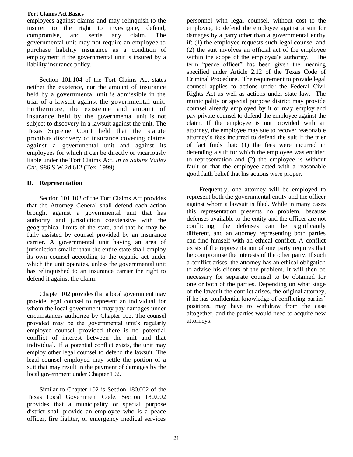employees against claims and may relinquish to the insurer to the right to investigate, defend, compromise, and settle any claim. The governmental unit may not require an employee to purchase liability insurance as a condition of employment if the governmental unit is insured by a liability insurance policy.

Section 101.104 of the Tort Claims Act states neither the existence, nor the amount of insurance held by a governmental unit is admissible in the trial of a lawsuit against the governmental unit. Furthermore, the existence and amount of insurance held by the governmental unit is not subject to discovery in a lawsuit against the unit. The Texas Supreme Court held that the statute prohibits discovery of insurance covering claims against a governmental unit and against its employees for which it can be directly or vicariously liable under the Tort Claims Act. *In re Sabine Valley Ctr.*, 986 S.W.2d 612 (Tex. 1999).

### <span id="page-24-0"></span>**D. Representation**

Section 101.103 of the Tort Claims Act provides that the Attorney General shall defend each action brought against a governmental unit that has authority and jurisdiction coextensive with the geographical limits of the state, and that he may be fully assisted by counsel provided by an insurance carrier. A governmental unit having an area of jurisdiction smaller than the entire state shall employ its own counsel according to the organic act under which the unit operates, unless the governmental unit has relinquished to an insurance carrier the right to defend it against the claim.

Chapter 102 provides that a local government may provide legal counsel to represent an individual for whom the local government may pay damages under circumstances authorize by Chapter 102. The counsel provided may be the governmental unit's regularly employed counsel, provided there is no potential conflict of interest between the unit and that individual. If a potential conflict exists, the unit may employ other legal counsel to defend the lawsuit. The legal counsel employed may settle the portion of a suit that may result in the payment of damages by the local government under Chapter 102.

Similar to Chapter 102 is Section 180.002 of the Texas Local Government Code. Section 180.002 provides that a municipality or special purpose district shall provide an employee who is a peace officer, fire fighter, or emergency medical services personnel with legal counsel, without cost to the employee, to defend the employee against a suit for damages by a party other than a governmental entity if: (1) the employee requests such legal counsel and (2) the suit involves an official act of the employee within the scope of the employee's authority. The term "peace officer" has been given the meaning specified under Article 2.12 of the Texas Code of Criminal Procedure. The requirement to provide legal counsel applies to actions under the Federal Civil Rights Act as well as actions under state law. The municipality or special purpose district may provide counsel already employed by it or may employ and pay private counsel to defend the employee against the claim. If the employee is not provided with an attorney, the employee may sue to recover reasonable attorney's fees incurred to defend the suit if the trier of fact finds that: (1) the fees were incurred in defending a suit for which the employee was entitled to representation and (2) the employee is without fault or that the employee acted with a reasonable good faith belief that his actions were proper.

Frequently, one attorney will be employed to represent both the governmental entity and the officer against whom a lawsuit is filed. While in many cases this representation presents no problem, because defenses available to the entity and the officer are not conflicting, the defenses can be significantly different, and an attorney representing both parties can find himself with an ethical conflict. A conflict exists if the representation of one party requires that he compromise the interests of the other party. If such a conflict arises, the attorney has an ethical obligation to advise his clients of the problem. It will then be necessary for separate counsel to be obtained for one or both of the parties. Depending on what stage of the lawsuit the conflict arises, the original attorney, if he has confidential knowledge of conflicting parties' positions, may have to withdraw from the case altogether, and the parties would need to acquire new attorneys.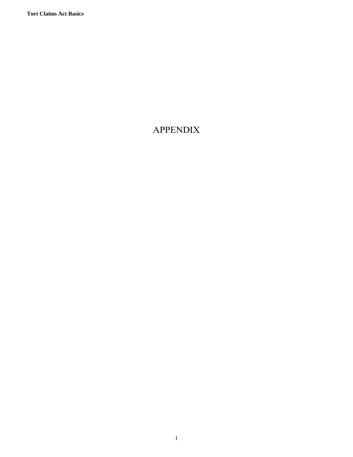# <span id="page-25-0"></span>APPENDIX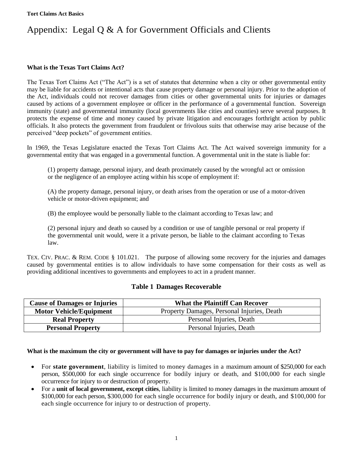# <span id="page-26-0"></span>Appendix: Legal Q & A for Government Officials and Clients

### **What is the Texas Tort Claims Act?**

The Texas Tort Claims Act ("The Act") is a set of statutes that determine when a city or other governmental entity may be liable for accidents or intentional acts that cause property damage or personal injury. Prior to the adoption of the Act, individuals could not recover damages from cities or other governmental units for injuries or damages caused by actions of a government employee or officer in the performance of a governmental function. Sovereign immunity (state) and governmental immunity (local governments like cities and counties) serve several purposes. It protects the expense of time and money caused by private litigation and encourages forthright action by public officials. It also protects the government from fraudulent or frivolous suits that otherwise may arise because of the perceived "deep pockets" of government entities.

In 1969, the Texas Legislature enacted the Texas Tort Claims Act. The Act waived sovereign immunity for a governmental entity that was engaged in a governmental function. A governmental unit in the state is liable for:

(1) property damage, personal injury, and death proximately caused by the wrongful act or omission or the negligence of an employee acting within his scope of employment if:

(A) the property damage, personal injury, or death arises from the operation or use of a motor-driven vehicle or motor-driven equipment; and

(B) the employee would be personally liable to the claimant according to Texas law; and

(2) personal injury and death so caused by a condition or use of tangible personal or real property if the governmental unit would, were it a private person, be liable to the claimant according to Texas law.

TEX. CIV. PRAC. & REM. CODE § 101.021. The purpose of allowing some recovery for the injuries and damages caused by governmental entities is to allow individuals to have some compensation for their costs as well as providing additional incentives to governments and employees to act in a prudent manner.

### **Table 1 Damages Recoverable**

| <b>Cause of Damages or Injuries</b> | <b>What the Plaintiff Can Recover</b>      |
|-------------------------------------|--------------------------------------------|
| <b>Motor Vehicle/Equipment</b>      | Property Damages, Personal Injuries, Death |
| <b>Real Property</b>                | Personal Injuries, Death                   |
| <b>Personal Property</b>            | Personal Injuries, Death                   |

### **What is the maximum the city or government will have to pay for damages or injuries under the Act?**

- For **state government**, liability is limited to money damages in a maximum amount of \$250,000 for each person, \$500,000 for each single occurrence for bodily injury or death, and \$100,000 for each single occurrence for injury to or destruction of property.
- For a **unit of local government, except cities**, liability is limited to money damages in the maximum amount of \$100,000 for each person, \$300,000 for each single occurrence for bodily injury or death, and \$100,000 for each single occurrence for injury to or destruction of property.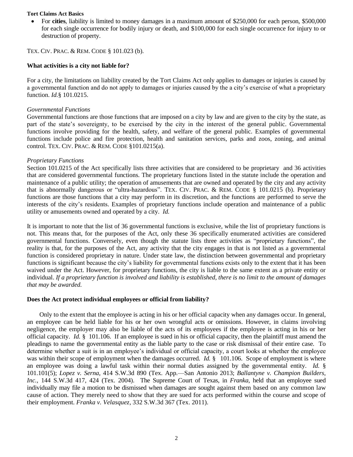For **cities**, liability is limited to money damages in a maximum amount of \$250,000 for each person, \$500,000 for each single occurrence for bodily injury or death, and \$100,000 for each single occurrence for injury to or destruction of property.

TEX. CIV. PRAC. & REM. CODE § 101.023 (b).

### **What activities is a city not liable for?**

For a city, the limitations on liability created by the Tort Claims Act only applies to damages or injuries is caused by a governmental function and do not apply to damages or injuries caused by the a city's exercise of what a proprietary function. *Id.*§ 101.0215.

### *Governmental Functions*

Governmental functions are those functions that are imposed on a city by law and are given to the city by the state, as part of the state's sovereignty, to be exercised by the city in the interest of the general public. Governmental functions involve providing for the health, safety, and welfare of the general public. Examples of governmental functions include police and fire protection, health and sanitation services, parks and zoos, zoning, and animal control. TEX. CIV. PRAC. & REM. CODE §101.0215(a).

### *Proprietary Functions*

Section 101.0215 of the Act specifically lists three activities that are considered to be proprietary and 36 activities that are considered governmental functions. The proprietary functions listed in the statute include the operation and maintenance of a public utility; the operation of amusements that are owned and operated by the city and any activity that is abnormally dangerous or "ultra-hazardous". TEX. CIV. PRAC. & REM. CODE § 101.0215 (b). Proprietary functions are those functions that a city may perform in its discretion, and the functions are performed to serve the interests of the city's residents. Examples of proprietary functions include operation and maintenance of a public utility or amusements owned and operated by a city. *Id.* 

It is important to note that the list of 36 governmental functions is exclusive, while the list of proprietary functions is not. This means that, for the purposes of the Act, only these 36 specifically enumerated activities are considered governmental functions. Conversely, even though the statute lists three activities as "proprietary functions", the reality is that, for the purposes of the Act, any activity that the city engages in that is not listed as a governmental function is considered proprietary in nature. Under state law, the distinction between governmental and proprietary functions is significant because the city's liability for governmental functions exists only to the extent that it has been waived under the Act. However, for proprietary functions, the city is liable to the same extent as a private entity or individual. *If a proprietary function is involved and liability is established, there is no limit to the amount of damages that may be awarded.* 

### **Does the Act protect individual employees or official from liability?**

Only to the extent that the employee is acting in his or her official capacity when any damages occur. In general, an employee can be held liable for his or her own wrongful acts or omissions. However, in claims involving negligence, the employer may also be liable of the acts of its employees if the employee is acting in his or her official capacity. *Id.* § 101.106. If an employee is sued in his or official capacity, then the plaintiff must amend the pleadings to name the governmental entity as the liable party to the case or risk dismissal of their entire case. To determine whether a suit is in an employee's individual or official capacity, a court looks at whether the employee was within their scope of employment when the damages occurred. *Id.* § 101.106. Scope of employment is where an employee was doing a lawful task within their normal duties assigned by the governmental entity. *Id.* § 101.101(5); *Lopez v. Serna*, 414 S.W.3d 890 (Tex. App.—San Antonio 2013; *Ballantyne v. Champion Builders, Inc.*, 144 S.W.3d 417, 424 (Tex. 2004). The Supreme Court of Texas, in *Franka*, held that an employee sued individually may file a motion to be dismissed when damages are sought against them based on any common law cause of action. They merely need to show that they are sued for acts performed within the course and scope of their employment. *Franka v. Velasquez*, 332 S.W.3d 367 (Tex. 2011).